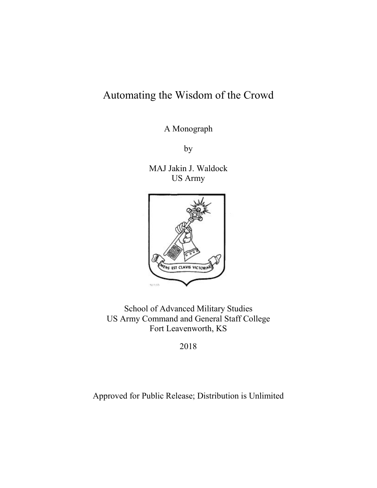# Automating the Wisdom of the Crowd

A Monograph

by

MAJ Jakin J. Waldock US Army



School of Advanced Military Studies US Army Command and General Staff College Fort Leavenworth, KS

2018

Approved for Public Release; Distribution is Unlimited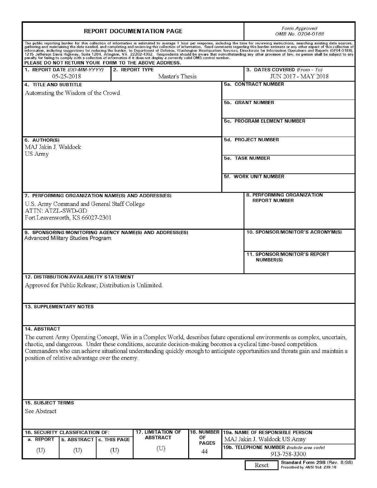| <b>REPORT DOCUMENTATION PAGE</b>                                                                                                                                                                                                                                                                                                                                                                                                                                                                                            |                                           |                                                |                                                         |                    | Form Approved<br>OMB No. 0704-0188 |                                                                          |
|-----------------------------------------------------------------------------------------------------------------------------------------------------------------------------------------------------------------------------------------------------------------------------------------------------------------------------------------------------------------------------------------------------------------------------------------------------------------------------------------------------------------------------|-------------------------------------------|------------------------------------------------|---------------------------------------------------------|--------------------|------------------------------------|--------------------------------------------------------------------------|
| The public reporting burden for this collection of information is estimated to average 1 hour per response, including the time for reviewing instructions, searching existing data sources,<br>gathering and maintaining the data<br>information, including suggestions for reducing the burden, to Department of Defense, Washington Headquarters regenuing inis burden senting with an university of the sentence of any other parties in the burden, to Departme<br>PLEASE DO NOT RETURN YOUR FORM TO THE ABOVE ADDRESS. |                                           |                                                |                                                         |                    |                                    |                                                                          |
|                                                                                                                                                                                                                                                                                                                                                                                                                                                                                                                             | 1. REPORT DATE (DD-MM-YYYY)<br>05-25-2018 |                                                | 2. REPORT TYPE<br>Master's Thesis                       |                    |                                    | 3. DATES COVERED (From - To)<br>JUN 2017 - MAY 2018                      |
| 4. TITLE AND SUBTITLE                                                                                                                                                                                                                                                                                                                                                                                                                                                                                                       |                                           |                                                |                                                         |                    |                                    | 5a. CONTRACT NUMBER                                                      |
|                                                                                                                                                                                                                                                                                                                                                                                                                                                                                                                             | Automating the Wisdom of the Crowd        |                                                |                                                         |                    |                                    |                                                                          |
|                                                                                                                                                                                                                                                                                                                                                                                                                                                                                                                             |                                           |                                                |                                                         |                    |                                    | <b>5b. GRANT NUMBER</b>                                                  |
|                                                                                                                                                                                                                                                                                                                                                                                                                                                                                                                             |                                           |                                                |                                                         |                    |                                    | 5c. PROGRAM ELEMENT NUMBER                                               |
| 6. AUTHOR(S)<br>MAJ Jakin J. Waldock                                                                                                                                                                                                                                                                                                                                                                                                                                                                                        |                                           |                                                |                                                         |                    |                                    | 5d. PROJECT NUMBER                                                       |
| US Army                                                                                                                                                                                                                                                                                                                                                                                                                                                                                                                     |                                           |                                                |                                                         |                    |                                    |                                                                          |
|                                                                                                                                                                                                                                                                                                                                                                                                                                                                                                                             |                                           |                                                |                                                         |                    |                                    | <b>5e. TASK NUMBER</b>                                                   |
|                                                                                                                                                                                                                                                                                                                                                                                                                                                                                                                             |                                           |                                                |                                                         |                    |                                    | 5f. WORK UNIT NUMBER                                                     |
|                                                                                                                                                                                                                                                                                                                                                                                                                                                                                                                             |                                           |                                                | 7. PERFORMING ORGANIZATION NAME(S) AND ADDRESS(ES)      |                    |                                    | 8. PERFORMING ORGANIZATION                                               |
| ATTN: ATZL-SWD-GD                                                                                                                                                                                                                                                                                                                                                                                                                                                                                                           |                                           | U.S. Army Command and General Staff College    |                                                         |                    |                                    | <b>REPORT NUMBER</b>                                                     |
|                                                                                                                                                                                                                                                                                                                                                                                                                                                                                                                             | Fort Leavenworth, KS 66027-2301           |                                                |                                                         |                    |                                    |                                                                          |
|                                                                                                                                                                                                                                                                                                                                                                                                                                                                                                                             | Advanced Military Studies Program.        |                                                | 9. SPONSORING/MONITORING AGENCY NAME(S) AND ADDRESS(ES) |                    |                                    | 10. SPONSOR/MONITOR'S ACRONYM(S)                                         |
|                                                                                                                                                                                                                                                                                                                                                                                                                                                                                                                             |                                           |                                                |                                                         |                    |                                    |                                                                          |
|                                                                                                                                                                                                                                                                                                                                                                                                                                                                                                                             |                                           |                                                |                                                         |                    |                                    | <b>11. SPONSOR/MONITOR'S REPORT</b><br><b>NUMBER(S)</b>                  |
|                                                                                                                                                                                                                                                                                                                                                                                                                                                                                                                             |                                           | <b>12. DISTRIBUTION/AVAILABILITY STATEMENT</b> |                                                         |                    |                                    |                                                                          |
| Approved for Public Release; Distribution is Unlimited.                                                                                                                                                                                                                                                                                                                                                                                                                                                                     |                                           |                                                |                                                         |                    |                                    |                                                                          |
|                                                                                                                                                                                                                                                                                                                                                                                                                                                                                                                             | <b>13. SUPPLEMENTARY NOTES</b>            |                                                |                                                         |                    |                                    |                                                                          |
|                                                                                                                                                                                                                                                                                                                                                                                                                                                                                                                             |                                           |                                                |                                                         |                    |                                    |                                                                          |
| 14. ABSTRACT                                                                                                                                                                                                                                                                                                                                                                                                                                                                                                                |                                           |                                                |                                                         |                    |                                    |                                                                          |
| The current Army Operating Concept, Win in a Complex World, describes future operational environments as complex, uncertain,<br>chaotic, and dangerous. Under these conditions, accurate decision-making becomes a cyclical time-based competition.<br>Commanders who can achieve situational understanding quickly enough to anticipate opportunities and threats gain and maintain a<br>position of relative advantage over the enemy.                                                                                    |                                           |                                                |                                                         |                    |                                    |                                                                          |
|                                                                                                                                                                                                                                                                                                                                                                                                                                                                                                                             |                                           |                                                |                                                         |                    |                                    |                                                                          |
| <b>15. SUBJECT TERMS</b>                                                                                                                                                                                                                                                                                                                                                                                                                                                                                                    |                                           |                                                |                                                         |                    |                                    |                                                                          |
| See Abstract                                                                                                                                                                                                                                                                                                                                                                                                                                                                                                                |                                           |                                                |                                                         |                    |                                    |                                                                          |
|                                                                                                                                                                                                                                                                                                                                                                                                                                                                                                                             | <b>16. SECURITY CLASSIFICATION OF:</b>    |                                                | <b>17. LIMITATION OF</b>                                | 18. NUMBER         |                                    | 19a. NAME OF RESPONSIBLE PERSON                                          |
| a. REPORT                                                                                                                                                                                                                                                                                                                                                                                                                                                                                                                   | <b>b. ABSTRACT</b>                        | c. THIS PAGE                                   | <b>ABSTRACT</b>                                         | OF<br><b>PAGES</b> |                                    | MAJ Jakin J. Waldock US Army                                             |
| $(\mathrm{U})$                                                                                                                                                                                                                                                                                                                                                                                                                                                                                                              | $(\mathrm{U})$                            | $(\mathrm{U})$                                 | $(\mathrm{U})$                                          | 44                 |                                    | 19b. TELEPHONE NUMBER (Include area code)<br>913-758-3300                |
|                                                                                                                                                                                                                                                                                                                                                                                                                                                                                                                             |                                           |                                                |                                                         |                    |                                    | Standard Form 298 (Rev. 8/98)<br>Reset<br>Prescribed by ANSI Std. Z39.18 |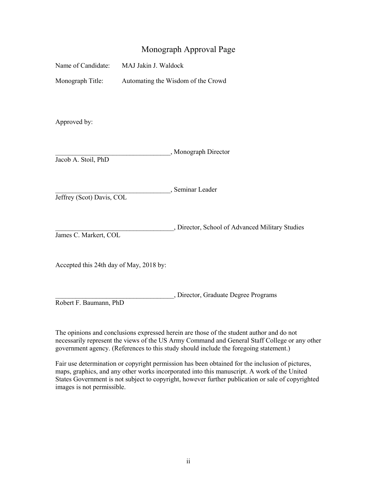# Monograph Approval Page

Automating the Wisdom of the Crowd Monograph Title: Automating the Wisdom of the Crowd<br>Approved by:

 Jacob A. Stoil, PhD \_\_\_\_\_\_\_\_\_\_\_\_\_\_\_\_\_\_\_\_\_\_\_\_\_\_\_\_\_\_\_\_\_\_, Monograph Director

\_\_\_\_\_\_\_\_\_\_\_\_\_\_\_\_\_\_\_\_\_\_\_\_\_\_\_\_\_\_\_\_\_\_, Seminar Leader

Jeffrey (Scot) Davis, COL

\_\_\_\_\_\_\_\_\_\_\_\_\_\_\_\_\_\_\_\_\_\_\_\_\_\_\_\_\_\_\_\_\_\_\_, Director, School of Advanced Military Studies James C. Markert, COL

Accepted this 24th day of May, 2018 by:

\_\_\_\_\_\_\_\_\_\_\_\_\_\_\_\_\_\_\_\_\_\_\_\_\_\_\_\_\_\_\_\_\_\_\_, Director, Graduate Degree Programs Robert F. Baumann, PhD

 The opinions and conclusions expressed herein are those of the student author and do not necessarily represent the views of the US Army Command and General Staff College or any other government agency. (References to this study should include the foregoing statement.)

 Fair use determination or copyright permission has been obtained for the inclusion of pictures, maps, graphics, and any other works incorporated into this manuscript. A work of the United States Government is not subject to copyright, however further publication or sale of copyrighted images is not permissible.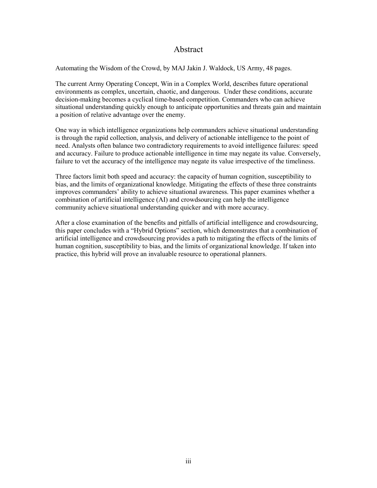# Abstract

Automating the Wisdom of the Crowd, by MAJ Jakin J. Waldock, US Army, 48 pages.

 The current Army Operating Concept, Win in a Complex World, describes future operational environments as complex, uncertain, chaotic, and dangerous. Under these conditions, accurate decision-making becomes a cyclical time-based competition. Commanders who can achieve situational understanding quickly enough to anticipate opportunities and threats gain and maintain a position of relative advantage over the enemy.

One way in which intelligence organizations help commanders achieve situational understanding is through the rapid collection, analysis, and delivery of actionable intelligence to the point of need. Analysts often balance two contradictory requirements to avoid intelligence failures: speed and accuracy. Failure to produce actionable intelligence in time may negate its value. Conversely, failure to vet the accuracy of the intelligence may negate its value irrespective of the timeliness.

 Three factors limit both speed and accuracy: the capacity of human cognition, susceptibility to bias, and the limits of organizational knowledge. Mitigating the effects of these three constraints improves commanders' ability to achieve situational awareness. This paper examines whether a combination of artificial intelligence (AI) and crowdsourcing can help the intelligence community achieve situational understanding quicker and with more accuracy.

 artificial intelligence and crowdsourcing provides a path to mitigating the effects of the limits of human cognition, susceptibility to bias, and the limits of organizational knowledge. If taken into After a close examination of the benefits and pitfalls of artificial intelligence and crowdsourcing, this paper concludes with a "Hybrid Options" section, which demonstrates that a combination of practice, this hybrid will prove an invaluable resource to operational planners.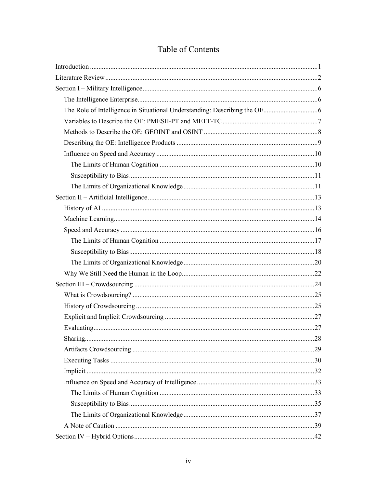# Table of Contents

| Sharing. | .28 |
|----------|-----|
|          |     |
|          |     |
|          |     |
|          |     |
|          |     |
|          |     |
|          |     |
|          |     |
|          |     |
|          |     |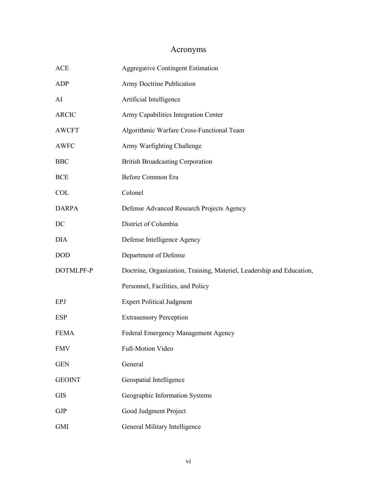# Acronyms

| ${ACE}$       | <b>Aggregative Contingent Estimation</b>                              |
|---------------|-----------------------------------------------------------------------|
| ADP           | Army Doctrine Publication                                             |
| AI            | Artificial Intelligence                                               |
| <b>ARCIC</b>  | Army Capabilities Integration Center                                  |
| <b>AWCFT</b>  | Algorithmic Warfare Cross-Functional Team                             |
| <b>AWFC</b>   | Army Warfighting Challenge                                            |
| <b>BBC</b>    | <b>British Broadcasting Corporation</b>                               |
| <b>BCE</b>    | Before Common Era                                                     |
| <b>COL</b>    | Colonel                                                               |
| <b>DARPA</b>  | Defense Advanced Research Projects Agency                             |
| DC            | District of Columbia                                                  |
| <b>DIA</b>    | Defense Intelligence Agency                                           |
| <b>DOD</b>    | Department of Defense                                                 |
| DOTMLPF-P     | Doctrine, Organization, Training, Materiel, Leadership and Education, |
|               | Personnel, Facilities, and Policy                                     |
| <b>EPJ</b>    | <b>Expert Political Judgment</b>                                      |
| <b>ESP</b>    | <b>Extrasensory Perception</b>                                        |
| <b>FEMA</b>   | Federal Emergency Management Agency                                   |
| <b>FMV</b>    | Full-Motion Video                                                     |
| <b>GEN</b>    | General                                                               |
| <b>GEOINT</b> | Geospatial Intelligence                                               |
| <b>GIS</b>    | Geographic Information Systems                                        |
| <b>GJP</b>    | Good Judgment Project                                                 |
| <b>GMI</b>    | General Military Intelligence                                         |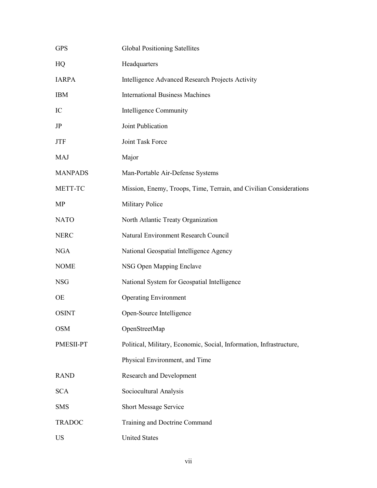| <b>GPS</b>     | <b>Global Positioning Satellites</b>                                |  |  |
|----------------|---------------------------------------------------------------------|--|--|
| HQ             | Headquarters                                                        |  |  |
| <b>IARPA</b>   | Intelligence Advanced Research Projects Activity                    |  |  |
| <b>IBM</b>     | <b>International Business Machines</b>                              |  |  |
| IC             | Intelligence Community                                              |  |  |
| JP             | Joint Publication                                                   |  |  |
| <b>JTF</b>     | Joint Task Force                                                    |  |  |
| <b>MAJ</b>     | Major                                                               |  |  |
| <b>MANPADS</b> | Man-Portable Air-Defense Systems                                    |  |  |
| METT-TC        | Mission, Enemy, Troops, Time, Terrain, and Civilian Considerations  |  |  |
| MP             | <b>Military Police</b>                                              |  |  |
| <b>NATO</b>    | North Atlantic Treaty Organization                                  |  |  |
| <b>NERC</b>    | Natural Environment Research Council                                |  |  |
| <b>NGA</b>     | National Geospatial Intelligence Agency                             |  |  |
| <b>NOME</b>    | NSG Open Mapping Enclave                                            |  |  |
| <b>NSG</b>     | National System for Geospatial Intelligence                         |  |  |
| OE             | <b>Operating Environment</b>                                        |  |  |
| <b>OSINT</b>   | Open-Source Intelligence                                            |  |  |
| <b>OSM</b>     | OpenStreetMap                                                       |  |  |
| PMESII-PT      | Political, Military, Economic, Social, Information, Infrastructure, |  |  |
|                | Physical Environment, and Time                                      |  |  |
| <b>RAND</b>    | <b>Research and Development</b>                                     |  |  |
| <b>SCA</b>     | Sociocultural Analysis                                              |  |  |
| <b>SMS</b>     | <b>Short Message Service</b>                                        |  |  |
| <b>TRADOC</b>  | Training and Doctrine Command                                       |  |  |
| <b>US</b>      | <b>United States</b>                                                |  |  |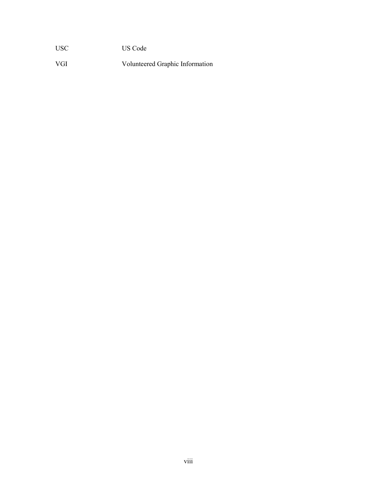**USC** US Code

VGI Volunteered Graphic Information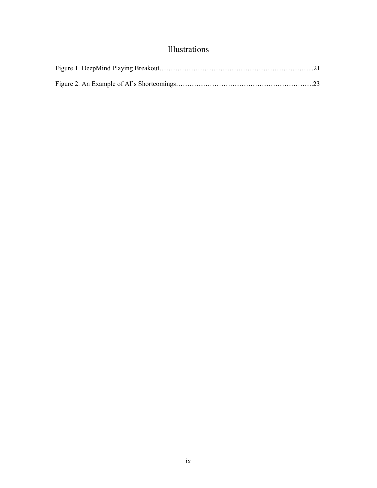# Illustrations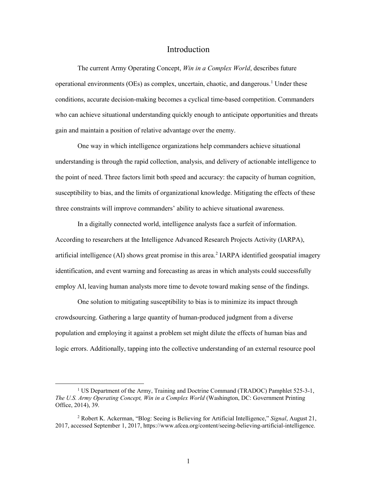### Introduction

<span id="page-10-0"></span>operational environments (OEs) as complex, uncertain, chaotic, and dangerous.<sup>1</sup> Under these who can achieve situational understanding quickly enough to anticipate opportunities and threats The current Army Operating Concept, *Win in a Complex World*, describes future conditions, accurate decision-making becomes a cyclical time-based competition. Commanders gain and maintain a position of relative advantage over the enemy.

 the point of need. Three factors limit both speed and accuracy: the capacity of human cognition, susceptibility to bias, and the limits of organizational knowledge. Mitigating the effects of these One way in which intelligence organizations help commanders achieve situational understanding is through the rapid collection, analysis, and delivery of actionable intelligence to three constraints will improve commanders' ability to achieve situational awareness.

 According to researchers at the Intelligence Advanced Research Projects Activity (IARPA), In a digitally connected world, intelligence analysts face a surfeit of information. artificial intelligence  $(AI)$  shows great promise in this area.<sup>2</sup> IARPA identified geospatial imagery identification, and event warning and forecasting as areas in which analysts could successfully employ AI, leaving human analysts more time to devote toward making sense of the findings.

One solution to mitigating susceptibility to bias is to minimize its impact through crowdsourcing. Gathering a large quantity of human-produced judgment from a diverse population and employing it against a problem set might dilute the effects of human bias and logic errors. Additionally, tapping into the collective understanding of an external resource pool

<span id="page-10-1"></span><sup>&</sup>lt;sup>1</sup> US Department of the Army, Training and Doctrine Command (TRADOC) Pamphlet 525-3-1, *The U.S. Army Operating Concept, Win in a Complex World* (Washington, DC: Government Printing Office, 2014), 39.

<span id="page-10-2"></span><sup>2</sup> Robert K. Ackerman, "Blog: Seeing is Believing for Artificial Intelligence," *Signal*, August 21, 2017, accessed September 1, 2017, [https://www.afcea.org/content/seeing-believing-artificial-intelligence.](https://www.afcea.org/content/seeing-believing-artificial-intelligence)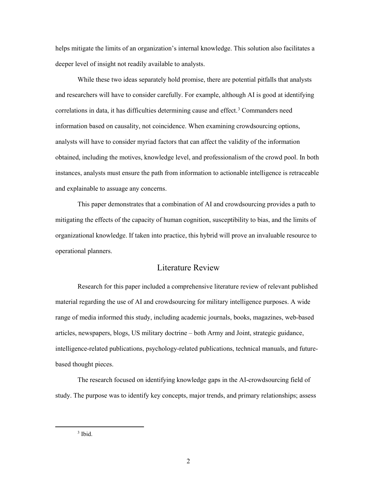<span id="page-11-0"></span>helps mitigate the limits of an organization's internal knowledge. This solution also facilitates a deeper level of insight not readily available to analysts.

 analysts will have to consider myriad factors that can affect the validity of the information instances, analysts must ensure the path from information to actionable intelligence is retraceable While these two ideas separately hold promise, there are potential pitfalls that analysts and researchers will have to consider carefully. For example, although AI is good at identifying correlations in data, it has difficulties determining cause and effect.<sup>[3](#page-11-1)</sup> Commanders need information based on causality, not coincidence. When examining crowdsourcing options, obtained, including the motives, knowledge level, and professionalism of the crowd pool. In both and explainable to assuage any concerns.

 This paper demonstrates that a combination of AI and crowdsourcing provides a path to mitigating the effects of the capacity of human cognition, susceptibility to bias, and the limits of operational planners. organizational knowledge. If taken into practice, this hybrid will prove an invaluable resource to

### Literature Review

 articles, newspapers, blogs, US military doctrine – both Army and Joint, strategic guidance, Research for this paper included a comprehensive literature review of relevant published material regarding the use of AI and crowdsourcing for military intelligence purposes. A wide range of media informed this study, including academic journals, books, magazines, web-based intelligence-related publications, psychology-related publications, technical manuals, and futurebased thought pieces.

<span id="page-11-1"></span> The research focused on identifying knowledge gaps in the AI-crowdsourcing field of study. The purpose was to identify key concepts, major trends, and primary relationships; assess

 $3$  Ibid.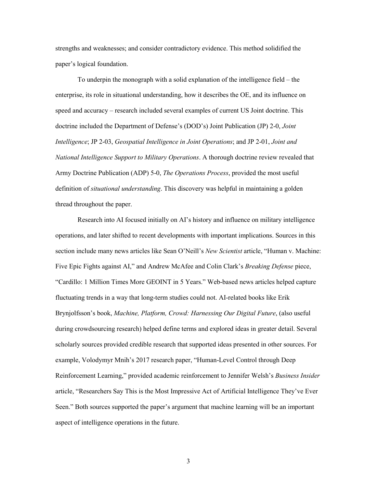strengths and weaknesses; and consider contradictory evidence. This method solidified the paper's logical foundation. paper's logical foundation. To underpin the monograph with a solid explanation of the intelligence field – the

 enterprise, its role in situational understanding, how it describes the OE, and its influence on speed and accuracy – research included several examples of current US Joint doctrine. This doctrine included the Department of Defense's (DOD's) Joint Publication (JP) 2-0, *Joint Intelligence*; JP 2-03, *Geospatial Intelligence in Joint Operations*; and JP 2-01, *Joint and National Intelligence Support to Military Operations*. A thorough doctrine review revealed that Army Doctrine Publication (ADP) 5-0, *The Operations Process*, provided the most useful definition of *situational understanding*. This discovery was helpful in maintaining a golden thread throughout the paper.

 Research into AI focused initially on AI's history and influence on military intelligence operations, and later shifted to recent developments with important implications. Sources in this "Cardillo: 1 Million Times More GEOINT in 5 Years." Web-based news articles helped capture fluctuating trends in a way that long-term studies could not. AI-related books like Erik during crowdsourcing research) helped define terms and explored ideas in greater detail. Several scholarly sources provided credible research that supported ideas presented in other sources. For aspect of intelligence operations in the future.<br>3 section include many news articles like Sean O'Neill's *New Scientist* article, "Human v. Machine: Five Epic Fights against AI," and Andrew McAfee and Colin Clark's *Breaking Defense* piece, Brynjolfsson's book, *Machine, Platform, Crowd: Harnessing Our Digital Future*, (also useful example, Volodymyr Mnih's 2017 research paper, "Human-Level Control through Deep Reinforcement Learning," provided academic reinforcement to Jennifer Welsh's *Business Insider*  article, "Researchers Say This is the Most Impressive Act of Artificial Intelligence They've Ever Seen." Both sources supported the paper's argument that machine learning will be an important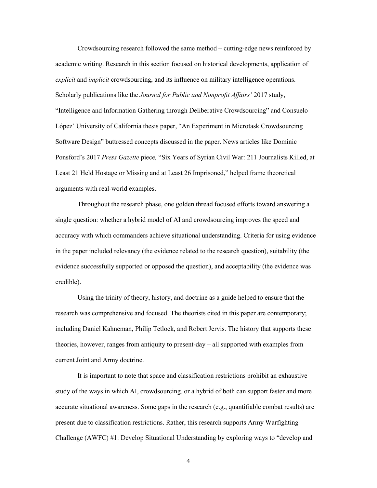*explicit* and *implicit* crowdsourcing, and its influence on military intelligence operations. Software Design" buttressed concepts discussed in the paper. News articles like Dominic Ponsford's 2017 *Press Gazette* piece*,* "Six Years of Syrian Civil War: 211 Journalists Killed, at Least 21 Held Hostage or Missing and at Least 26 Imprisoned," helped frame theoretical Crowdsourcing research followed the same method – cutting-edge news reinforced by academic writing. Research in this section focused on historical developments, application of Scholarly publications like the *Journal for Public and Nonprofit Affairs'* 2017 study, "Intelligence and Information Gathering through Deliberative Crowdsourcing" and Consuelo López' University of California thesis paper, "An Experiment in Microtask Crowdsourcing arguments with real-world examples.

 single question: whether a hybrid model of AI and crowdsourcing improves the speed and in the paper included relevancy (the evidence related to the research question), suitability (the Throughout the research phase, one golden thread focused efforts toward answering a accuracy with which commanders achieve situational understanding. Criteria for using evidence evidence successfully supported or opposed the question), and acceptability (the evidence was credible).

 including Daniel Kahneman, Philip Tetlock, and Robert Jervis. The history that supports these Using the trinity of theory, history, and doctrine as a guide helped to ensure that the research was comprehensive and focused. The theorists cited in this paper are contemporary; theories, however, ranges from antiquity to present-day – all supported with examples from current Joint and Army doctrine.

 It is important to note that space and classification restrictions prohibit an exhaustive present due to classification restrictions. Rather, this research supports Army Warfighting study of the ways in which AI, crowdsourcing, or a hybrid of both can support faster and more accurate situational awareness. Some gaps in the research (e.g., quantifiable combat results) are Challenge (AWFC) #1: Develop Situational Understanding by exploring ways to "develop and

4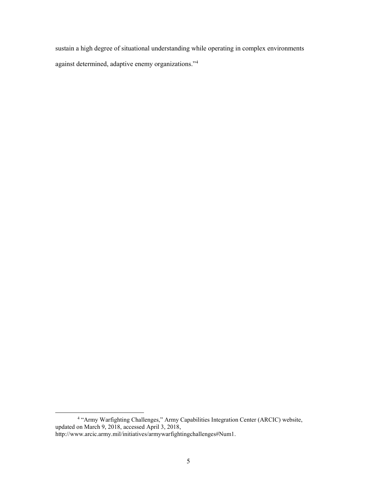against determined, adaptive enemy organizations.["4](#page-14-0)  sustain a high degree of situational understanding while operating in complex environments

<span id="page-14-0"></span><sup>&</sup>lt;sup>4</sup> "Army Warfighting Challenges," Army Capabilities Integration Center (ARCIC) website, updated on March 9, 2018, accessed April 3, 2018, [http://www.arcic.army.mil/initiatives/armywarfightingchallenges#Num1.](http://www.arcic.army.mil/initiatives/armywarfightingchallenges#Num1)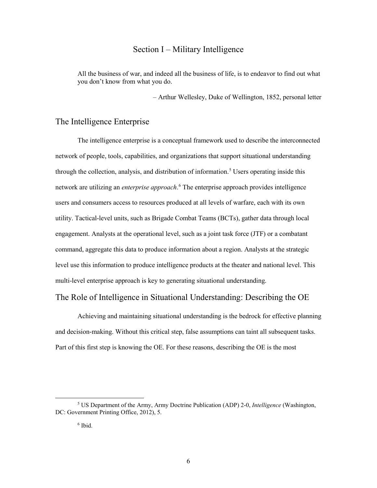# Section I – Military Intelligence

<span id="page-15-0"></span> All the business of war, and indeed all the business of life, is to endeavor to find out what you don't know from what you do.

– Arthur Wellesley, Duke of Wellington, 1852, personal letter

## The Intelligence Enterprise

 The intelligence enterprise is a conceptual framework used to describe the interconnected network are utilizing an *enterprise approach*. [6](#page-15-2) The enterprise approach provides intelligence utility. Tactical-level units, such as Brigade Combat Teams (BCTs), gather data through local command, aggregate this data to produce information about a region. Analysts at the strategic network of people, tools, capabilities, and organizations that support situational understanding through the collection, analysis, and distribution of information.<sup>5</sup> Users operating inside this users and consumers access to resources produced at all levels of warfare, each with its own engagement. Analysts at the operational level, such as a joint task force (JTF) or a combatant level use this information to produce intelligence products at the theater and national level. This multi-level enterprise approach is key to generating situational understanding.

### The Role of Intelligence in Situational Understanding: Describing the OE

 and decision-making. Without this critical step, false assumptions can taint all subsequent tasks. Part of this first step is knowing the OE. For these reasons, describing the OE is the most Achieving and maintaining situational understanding is the bedrock for effective planning

<span id="page-15-2"></span><span id="page-15-1"></span><sup>5</sup> US Department of the Army, Army Doctrine Publication (ADP) 2-0, *Intelligence* (Washington, DC: Government Printing Office, 2012), 5.

 6 Ibid.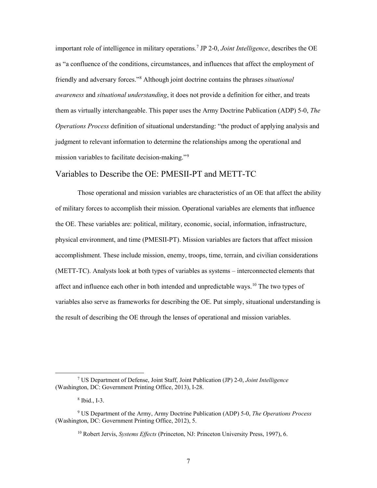<span id="page-16-0"></span> important role of intelligence in military operations.[7](#page-16-1) JP 2-0, *Joint Intelligence*, describes the OE as "a confluence of the conditions, circumstances, and influences that affect the employment of friendly and adversary forces."[8](#page-16-2) Although joint doctrine contains the phrases *situational awareness* and *situational understanding*, it does not provide a definition for either, and treats mission variables to facilitate decision-making."<sup>9</sup> them as virtually interchangeable. This paper uses the Army Doctrine Publication (ADP) 5-0, *The Operations Process* definition of situational understanding: "the product of applying analysis and judgment to relevant information to determine the relationships among the operational and

# Variables to Describe the OE: PMESII-PT and METT-TC

 Those operational and mission variables are characteristics of an OE that affect the ability of military forces to accomplish their mission. Operational variables are elements that influence the OE. These variables are: political, military, economic, social, information, infrastructure, physical environment, and time (PMESII-PT). Mission variables are factors that affect mission accomplishment. These include mission, enemy, troops, time, terrain, and civilian considerations (METT-TC). Analysts look at both types of variables as systems – interconnected elements that affect and influence each other in both intended and unpredictable ways.<sup>10</sup> The two types of variables also serve as frameworks for describing the OE. Put simply, situational understanding is the result of describing the OE through the lenses of operational and mission variables.

<span id="page-16-1"></span><sup>7</sup> US Department of Defense, Joint Staff, Joint Publication (JP) 2-0, *Joint Intelligence*  (Washington, DC: Government Printing Office, 2013), I-28.

 8 Ibid., I-3.

<span id="page-16-4"></span><span id="page-16-3"></span><span id="page-16-2"></span><sup>9</sup> US Department of the Army, Army Doctrine Publication (ADP) 5-0, *The Operations Process*  (Washington, DC: Government Printing Office, 2012), 5.

<sup>10</sup> Robert Jervis, *Systems Effects* (Princeton, NJ: Princeton University Press, 1997), 6.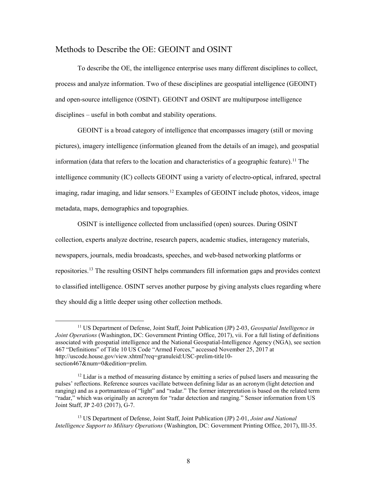# <span id="page-17-0"></span>Methods to Describe the OE: GEOINT and OSINT

 To describe the OE, the intelligence enterprise uses many different disciplines to collect, disciplines – useful in both combat and stability operations. process and analyze information. Two of these disciplines are geospatial intelligence (GEOINT) and open-source intelligence (OSINT). GEOINT and OSINT are multipurpose intelligence

information (data that refers to the location and characteristics of a geographic feature).<sup>11</sup> The GEOINT is a broad category of intelligence that encompasses imagery (still or moving pictures), imagery intelligence (information gleaned from the details of an image), and geospatial intelligence community (IC) collects GEOINT using a variety of electro-optical, infrared, spectral imaging, radar imaging, and lidar sensors.<sup>12</sup> Examples of GEOINT include photos, videos, image metadata, maps, demographics and topographies.

 OSINT is intelligence collected from unclassified (open) sources. During OSINT repositories.<sup>13</sup> The resulting OSINT helps commanders fill information gaps and provides context collection, experts analyze doctrine, research papers, academic studies, interagency materials, newspapers, journals, media broadcasts, speeches, and web-based networking platforms or to classified intelligence. OSINT serves another purpose by giving analysts clues regarding where they should dig a little deeper using other collection methods.

<span id="page-17-1"></span> associated with geospatial intelligence and the National Geospatial-Intelligence Agency (NGA), see section 11 US Department of Defense, Joint Staff, Joint Publication (JP) 2-03, *Geospatial Intelligence in Joint Operations* (Washington, DC: Government Printing Office, 2017), vii. For a full listing of definitions 467 "Definitions" of Title 10 US Code "Armed Forces," accessed November 25, 2017 at <http://uscode.house.gov/view.xhtml?req=granuleid:USC-prelim-title10> section467&num=0&edition=prelim.

<span id="page-17-2"></span> "radar," which was originally an acronym for "radar detection and ranging." Sensor information from US  $12$  Lidar is a method of measuring distance by emitting a series of pulsed lasers and measuring the pulses' reflections. Reference sources vacillate between defining lidar as an acronym (light detection and ranging) and as a portmanteau of "light" and "radar." The former interpretation is based on the related term Joint Staff, JP 2-03 (2017), G-7.

<span id="page-17-3"></span><sup>13</sup> US Department of Defense, Joint Staff, Joint Publication (JP) 2-01, *Joint and National Intelligence Support to Military Operations* (Washington, DC: Government Printing Office, 2017), III-35.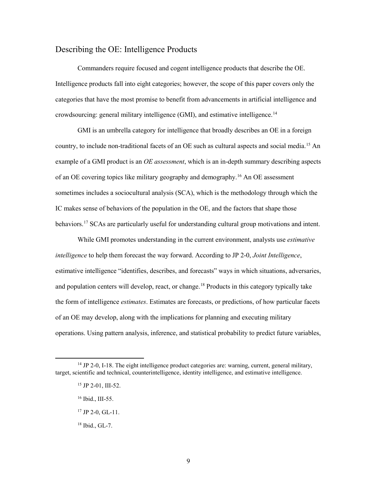# <span id="page-18-0"></span>Describing the OE: Intelligence Products

 Commanders require focused and cogent intelligence products that describe the OE. Intelligence products fall into eight categories; however, the scope of this paper covers only the crowdsourcing: general military intelligence (GMI), and estimative intelligence. [14](#page-18-1) categories that have the most promise to benefit from advancements in artificial intelligence and

 GMI is an umbrella category for intelligence that broadly describes an OE in a foreign example of a GMI product is an *OE assessment*, which is an in-depth summary describing aspects of an OE covering topics like military geography and demography.<sup>16</sup> An OE assessment sometimes includes a sociocultural analysis (SCA), which is the methodology through which the IC makes sense of behaviors of the population in the OE, and the factors that shape those behaviors.<sup>[17](#page-18-4)</sup> SCAs are particularly useful for understanding cultural group motivations and intent. country, to include non-traditional facets of an OE such as cultural aspects and social media.<sup>15</sup> An

 While GMI promotes understanding in the current environment, analysts use *estimative*  and population centers will develop, react, or change.<sup>18</sup> Products in this category typically take of an OE may develop, along with the implications for planning and executing military *intelligence* to help them forecast the way forward. According to JP 2-0, *Joint Intelligence*, estimative intelligence "identifies, describes, and forecasts" ways in which situations, adversaries, the form of intelligence *estimates*. Estimates are forecasts, or predictions, of how particular facets operations. Using pattern analysis, inference, and statistical probability to predict future variables,

<span id="page-18-4"></span><span id="page-18-3"></span><span id="page-18-2"></span><span id="page-18-1"></span> $14$  JP 2-0, I-18. The eight intelligence product categories are: warning, current, general military, target, scientific and technical, counterintelligence, identity intelligence, and estimative intelligence.

<sup>15</sup> JP 2-01, III-52.

<sup>&</sup>lt;sup>16</sup> Ibid., III-55.

 $17$  JP 2-0, GL-11.

<span id="page-18-5"></span> 18 Ibid., GL-7.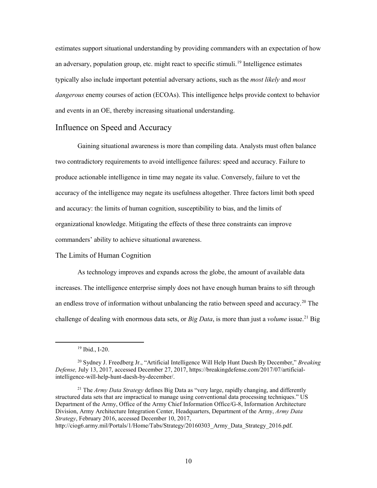<span id="page-19-0"></span>an adversary, population group, etc. might react to specific stimuli.<sup>[19](#page-19-1)</sup> Intelligence estimates *dangerous* enemy courses of action (ECOAs). This intelligence helps provide context to behavior and events in an OE, thereby increasing situational understanding. Influence on Speed and Accuracy estimates support situational understanding by providing commanders with an expectation of how typically also include important potential adversary actions, such as the *most likely* and *most* 

 two contradictory requirements to avoid intelligence failures: speed and accuracy. Failure to and accuracy: the limits of human cognition, susceptibility to bias, and the limits of Gaining situational awareness is more than compiling data. Analysts must often balance produce actionable intelligence in time may negate its value. Conversely, failure to vet the accuracy of the intelligence may negate its usefulness altogether. Three factors limit both speed organizational knowledge. Mitigating the effects of these three constraints can improve commanders' ability to achieve situational awareness.

#### The Limits of Human Cognition

 increases. The intelligence enterprise simply does not have enough human brains to sift through an endless trove of information without unbalancing the ratio between speed and accuracy.<sup>[20](#page-19-2)</sup> The challenge of dealing with enormous data sets, or *Big Data*, is more than just a *volume* issue.[21](#page-19-3) Big As technology improves and expands across the globe, the amount of available data

 19 Ibid., I-20.

<span id="page-19-2"></span><span id="page-19-1"></span><sup>20</sup> Sydney J. Freedberg Jr., "Artificial Intelligence Will Help Hunt Daesh By December," *Breaking Defense,* July 13, 2017, accessed December 27, 2017, <https://breakingdefense.com/2017/07/artificial>intelligence-will-help-hunt-daesh-by-december/.

<span id="page-19-3"></span> 21 The *Army Data Strategy* defines Big Data as "very large, rapidly changing, and differently Division, Army Architecture Integration Center, Headquarters, Department of the Army, *Army Data*  structured data sets that are impractical to manage using conventional data processing techniques." US Department of the Army, Office of the Army Chief Information Office/G-8, Information Architecture *Strategy*, February 2016, accessed December 10, 2017, http://ciog6.army.mil/Portals/1/Home/Tabs/Strategy/20160303 Army\_Data\_Strategy\_2016.pdf.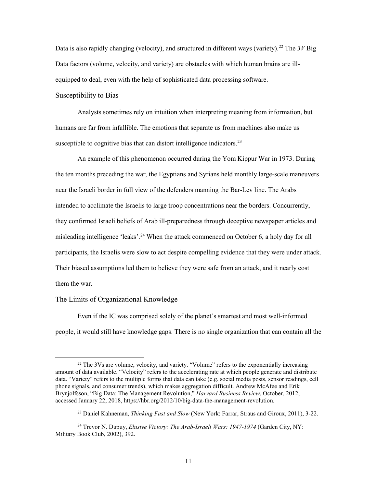<span id="page-20-0"></span>Data is also rapidly changing (velocity), and structured in different ways (variety).<sup>[22](#page-20-1)</sup> The 3V Big Data factors (volume, velocity, and variety) are obstacles with which human brains are ill-equipped to deal, even with the help of sophisticated data processing software. Susceptibility to Bias

susceptible to cognitive bias that can distort intelligence indicators.<sup>23</sup> Analysts sometimes rely on intuition when interpreting meaning from information, but humans are far from infallible. The emotions that separate us from machines also make us

 the ten months preceding the war, the Egyptians and Syrians held monthly large-scale maneuvers near the Israeli border in full view of the defenders manning the Bar-Lev line. The Arabs they confirmed Israeli beliefs of Arab ill-preparedness through deceptive newspaper articles and misleading intelligence 'leaks'.<sup>[24](#page-20-3)</sup> When the attack commenced on October 6, a holy day for all participants, the Israelis were slow to act despite compelling evidence that they were under attack. Their biased assumptions led them to believe they were safe from an attack, and it nearly cost An example of this phenomenon occurred during the Yom Kippur War in 1973. During intended to acclimate the Israelis to large troop concentrations near the borders. Concurrently, them the war.

#### The Limits of Organizational Knowledge

 $\overline{a}$ 

 people, it would still have knowledge gaps. There is no single organization that can contain all the Even if the IC was comprised solely of the planet's smartest and most well-informed

<span id="page-20-1"></span><sup>&</sup>lt;sup>22</sup> The 3Vs are volume, velocity, and variety. "Volume" refers to the exponentially increasing amount of data available. "Velocity" refers to the accelerating rate at which people generate and distribute data. "Variety" refers to the multiple forms that data can take (e.g. social media posts, sensor readings, cell phone signals, and consumer trends), which makes aggregation difficult. Andrew McAfee and Erik Brynjolfsson, "Big Data: The Management Revolution," *Harvard Business Review*, October, 2012, accessed January 22, 2018, [https://hbr.org/2012/10/big-data-the-management-revolution.](https://hbr.org/2012/10/big-data-the-management-revolution)

<sup>23</sup> Daniel Kahneman, *Thinking Fast and Slow* (New York: Farrar, Straus and Giroux, 2011), 3-22.

<span id="page-20-3"></span><span id="page-20-2"></span><sup>&</sup>lt;sup>24</sup> Trevor N. Dupuy, *Elusive Victory: The Arab-Israeli Wars: 1947-1974* (Garden City, NY: Military Book Club, 2002), 392.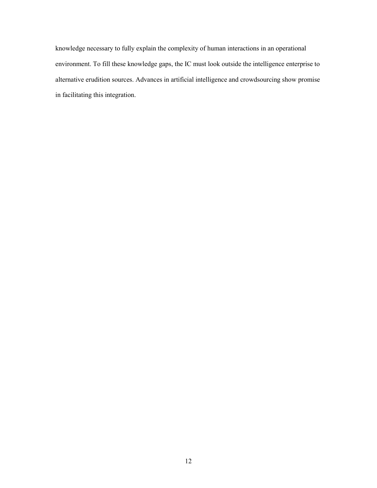alternative erudition sources. Advances in artificial intelligence and crowdsourcing show promise knowledge necessary to fully explain the complexity of human interactions in an operational environment. To fill these knowledge gaps, the IC must look outside the intelligence enterprise to in facilitating this integration.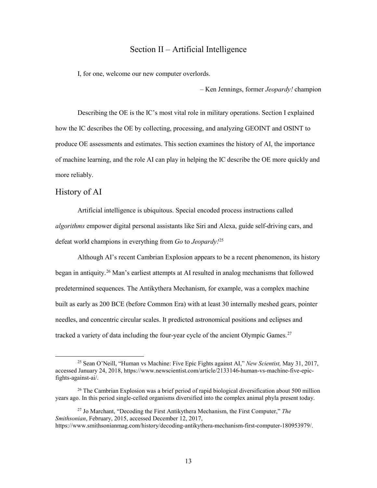# Section II – Artificial Intelligence

<span id="page-22-0"></span>I, for one, welcome our new computer overlords.

– Ken Jennings, former *Jeopardy!* champion

 produce OE assessments and estimates. This section examines the history of AI, the importance Describing the OE is the IC's most vital role in military operations. Section I explained how the IC describes the OE by collecting, processing, and analyzing GEOINT and OSINT to of machine learning, and the role AI can play in helping the IC describe the OE more quickly and more reliably.

### History of AI

 $\overline{a}$ 

 Artificial intelligence is ubiquitous. Special encoded process instructions called defeat world champions in everything from *Go* to *Jeopardy!*[25](#page-22-1) *algorithms* empower digital personal assistants like Siri and Alexa, guide self-driving cars, and

 Although AI's recent Cambrian Explosion appears to be a recent phenomenon, its history built as early as 200 BCE (before Common Era) with at least 30 internally meshed gears, pointer began in antiquity.<sup>26</sup> Man's earliest attempts at AI resulted in analog mechanisms that followed predetermined sequences. The Antikythera Mechanism, for example, was a complex machine needles, and concentric circular scales. It predicted astronomical positions and eclipses and tracked a variety of data including the four-year cycle of the ancient Olympic Games.<sup>27</sup>

<span id="page-22-1"></span> 25 Sean O'Neill, "Human vs Machine: Five Epic Fights against AI," *New Scientist,* May 31, 2017, accessed January 24, 2018,<https://www.newscientist.com/article/2133146-human-vs-machine-five-epic>fights-against-ai/.

<span id="page-22-2"></span> $26$  The Cambrian Explosion was a brief period of rapid biological diversification about 500 million years ago. In this period single-celled organisms diversified into the complex animal phyla present today.

<span id="page-22-3"></span> 27 Jo Marchant, "Decoding the First Antikythera Mechanism, the First Computer," *The Smithsonian*, February, 2015, accessed December 12, 2017, <https://www.smithsonianmag.com/history/decoding-antikythera-mechanism-first-computer-180953979>/.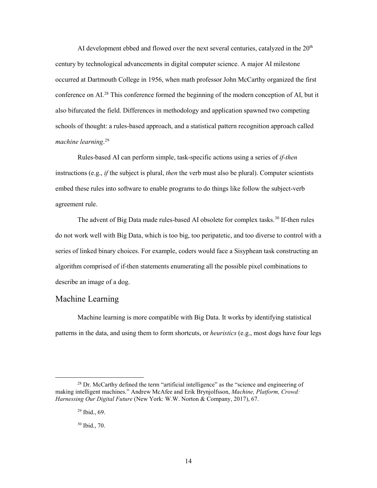<span id="page-23-0"></span>AI development ebbed and flowed over the next several centuries, catalyzed in the  $20<sup>th</sup>$ century by technological advancements in digital computer science. A major AI milestone occurred at Dartmouth College in 1956, when math professor John McCarthy organized the first conference on AI.<sup>28</sup> This conference formed the beginning of the modern conception of AI, but it also bifurcated the field. Differences in methodology and application spawned two competing schools of thought: a rules-based approach, and a statistical pattern recognition approach called *machine learning*. [29](#page-23-2)

 instructions (e.g., *if* the subject is plural, *then* the verb must also be plural). Computer scientists Rules-based AI can perform simple, task-specific actions using a series of *if-then*  embed these rules into software to enable programs to do things like follow the subject-verb agreement rule.

The advent of Big Data made rules-based AI obsolete for complex tasks.<sup>30</sup> If-then rules series of linked binary choices. For example, coders would face a Sisyphean task constructing an do not work well with Big Data, which is too big, too peripatetic, and too diverse to control with a algorithm comprised of if-then statements enumerating all the possible pixel combinations to describe an image of a dog.

## Machine Learning

 patterns in the data, and using them to form shortcuts, or *heuristics* (e.g., most dogs have four legs Machine learning is more compatible with Big Data. It works by identifying statistical

<span id="page-23-3"></span><span id="page-23-2"></span><span id="page-23-1"></span> making intelligent machines." Andrew McAfee and Erik Brynjolfsson, *Machine, Platform, Crowd: Harnessing Our Digital Future* (New York: W.W. Norton & Company, 2017), 67.  $28$  Dr. McCarthy defined the term "artificial intelligence" as the "science and engineering of

 29 Ibid., 69.

 30 Ibid., 70.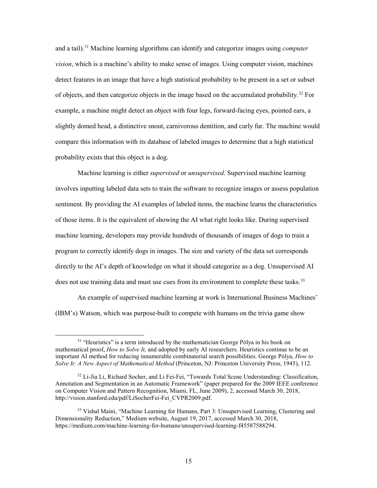compare this information with its database of labeled images to determine that a high statistical and a tail).[31](#page-24-0) Machine learning algorithms can identify and categorize images using *computer vision*, which is a machine's ability to make sense of images. Using computer vision, machines detect features in an image that have a high statistical probability to be present in a set or subset of objects, and then categorize objects in the image based on the accumulated probability.<sup>[32](#page-24-1)</sup> For example, a machine might detect an object with four legs, forward-facing eyes, pointed ears, a slightly domed head, a distinctive snout, carnivorous dentition, and curly fur. The machine would probability exists that this object is a dog.

 Machine learning is either *supervised* or *unsupervised*. Supervised machine learning of those items. It is the equivalent of showing the AI what right looks like. During supervised machine learning, developers may provide hundreds of thousands of images of dogs to train a directly to the AI's depth of knowledge on what it should categorize as a dog. Unsupervised AI involves inputting labeled data sets to train the software to recognize images or assess population sentiment. By providing the AI examples of labeled items, the machine learns the characteristics program to correctly identify dogs in images. The size and variety of the data set corresponds does not use training data and must use cues from its environment to complete these tasks.<sup>[33](#page-24-2)</sup>

 An example of supervised machine learning at work is International Business Machines' (IBM's) Watson, which was purpose-built to compete with humans on the trivia game show

<span id="page-24-0"></span> important AI method for reducing innumerable combinatorial search possibilities. George Pólya, *How to*  <sup>31</sup> "Heuristics" is a term introduced by the mathematician George Pólya in his book on mathematical proof, *How to Solve It,* and adopted by early AI researchers. Heuristics continue to be an *Solve It: A New Aspect of Mathematical Method* (Princeton, NJ: Princeton University Press, 1945), 112.

<span id="page-24-1"></span> Annotation and Segmentation in an Automatic Framework" (paper prepared for the 2009 IEEE conference <sup>32</sup> Li-Jia Li, Richard Socher, and Li Fei-Fei, "Towards Total Scene Understanding: Classification, on Computer Vision and Pattern Recognition, Miami, FL, June 2009), 2, accessed March 30, 2018, [http://vision.stanford.edu/pdf/LiSocherFei-Fei\\_CVPR2009.pdf.](http://vision.stanford.edu/pdf/LiSocherFei-Fei_CVPR2009.pdf)

<span id="page-24-2"></span><sup>&</sup>lt;sup>33</sup> Vishal Maini, "Machine Learning for Humans, Part 3: Unsupervised Learning, Clustering and Dimensionality Reduction," Medium website, August 19, 2017, accessed March 30, 2018, [https://medium.com/machine-learning-for-humans/unsupervised-learning-f45587588294.](https://medium.com/machine-learning-for-humans/unsupervised-learning-f45587588294)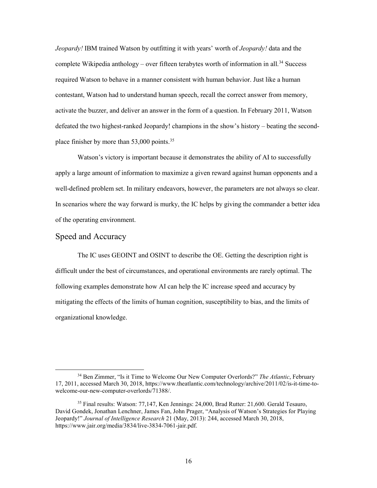<span id="page-25-0"></span> *Jeopardy!* IBM trained Watson by outfitting it with years' worth of *Jeopardy!* data and the complete Wikipedia anthology – over fifteen terabytes worth of information in all.<sup>[34](#page-25-1)</sup> Success required Watson to behave in a manner consistent with human behavior. Just like a human contestant, Watson had to understand human speech, recall the correct answer from memory, activate the buzzer, and deliver an answer in the form of a question. In February 2011, Watson defeated the two highest-ranked Jeopardy! champions in the show's history – beating the second-place finisher by more than 53,000 points.<sup>[35](#page-25-2)</sup>

Watson's victory is important because it demonstrates the ability of AI to successfully apply a large amount of information to maximize a given reward against human opponents and a well-defined problem set. In military endeavors, however, the parameters are not always so clear. In scenarios where the way forward is murky, the IC helps by giving the commander a better idea of the operating environment.

#### Speed and Accuracy

 $\overline{a}$ 

 difficult under the best of circumstances, and operational environments are rarely optimal. The mitigating the effects of the limits of human cognition, susceptibility to bias, and the limits of organizational knowledge. The IC uses GEOINT and OSINT to describe the OE. Getting the description right is following examples demonstrate how AI can help the IC increase speed and accuracy by organizational knowledge. 34 Ben Zimmer, "Is it Time to Welcome Our New Computer Overlords?" *The Atlantic*, February

<span id="page-25-1"></span><sup>17, 2011,</sup> accessed March 30, 2018,<https://www.theatlantic.com/technology/archive/2011/02/is-it-time-to>welcome-our-new-computer-overlords/71388/.

<span id="page-25-2"></span><sup>&</sup>lt;sup>35</sup> Final results: Watson: 77,147, Ken Jennings: 24,000, Brad Rutter: 21,600. Gerald Tesauro, David Gondek, Jonathan Lenchner, James Fan, John Prager, "Analysis of Watson's Strategies for Playing Jeopardy!" *Journal of Intelligence Research* 21 (May, 2013): 244, accessed March 30, 2018, [https://www.jair.org/media/3834/live-3834-7061-jair.pdf.](https://www.jair.org/media/3834/live-3834-7061-jair.pdf)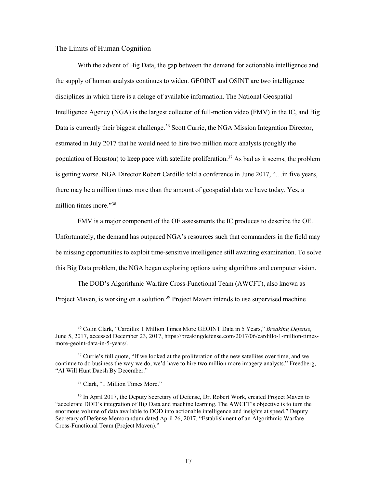#### <span id="page-26-0"></span>The Limits of Human Cognition

 is getting worse. NGA Director Robert Cardillo told a conference in June 2017, "…in five years, there may be a million times more than the amount of geospatial data we have today. Yes, a With the advent of Big Data, the gap between the demand for actionable intelligence and the supply of human analysts continues to widen. GEOINT and OSINT are two intelligence disciplines in which there is a deluge of available information. The National Geospatial Intelligence Agency (NGA) is the largest collector of full-motion video (FMV) in the IC, and Big Data is currently their biggest challenge.<sup>36</sup> Scott Currie, the NGA Mission Integration Director, estimated in July 2017 that he would need to hire two million more analysts (roughly the population of Houston) to keep pace with satellite proliferation.<sup>37</sup> As bad as it seems, the problem million times more."[38](#page-26-3) 

FMV is a major component of the OE assessments the IC produces to describe the OE. Unfortunately, the demand has outpaced NGA's resources such that commanders in the field may be missing opportunities to exploit time-sensitive intelligence still awaiting examination. To solve this Big Data problem, the NGA began exploring options using algorithms and computer vision.

The DOD's Algorithmic Warfare Cross-Functional Team (AWCFT), also known as Project Maven, is working on a solution.<sup>39</sup> Project Maven intends to use supervised machine

<span id="page-26-1"></span><sup>36</sup> Colin Clark, "Cardillo: 1 Million Times More GEOINT Data in 5 Years," *Breaking Defense,*  June 5, 2017, accessed December 23, 2017,<https://breakingdefense.com/2017/06/cardillo-1-million-times>more-geoint-data-in-5-years/.

<span id="page-26-2"></span><sup>&</sup>lt;sup>37</sup> Currie's full quote, "If we looked at the proliferation of the new satellites over time, and we continue to do business the way we do, we'd have to hire two million more imagery analysts." Freedberg, "AI Will Hunt Daesh By December."

<sup>38</sup> Clark, "1 Million Times More."

<span id="page-26-4"></span><span id="page-26-3"></span><sup>&</sup>lt;sup>39</sup> In April 2017, the Deputy Secretary of Defense, Dr. Robert Work, created Project Maven to "accelerate DOD's integration of Big Data and machine learning. The AWCFT's objective is to turn the enormous volume of data available to DOD into actionable intelligence and insights at speed." Deputy Secretary of Defense Memorandum dated April 26, 2017, "Establishment of an Algorithmic Warfare Cross-Functional Team (Project Maven)."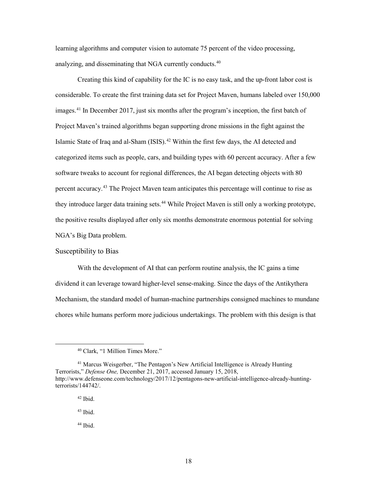<span id="page-27-0"></span>analyzing, and disseminating that NGA currently conducts.<sup>40</sup> learning algorithms and computer vision to automate 75 percent of the video processing,

 considerable. To create the first training data set for Project Maven, humans labeled over 150,000 images.<sup>[41](#page-27-2)</sup> In December 2017, just six months after the program's inception, the first batch of Project Maven's trained algorithms began supporting drone missions in the fight against the software tweaks to account for regional differences, the AI began detecting objects with 80 percent accuracy.<sup>[43](#page-27-4)</sup> The Project Maven team anticipates this percentage will continue to rise as NGA's Big Data problem. NGA's Big Data problem.<br>Susceptibility to Bias Creating this kind of capability for the IC is no easy task, and the up-front labor cost is Islamic State of Iraq and al-Sham (ISIS).<sup>[42](#page-27-3)</sup> Within the first few days, the AI detected and categorized items such as people, cars, and building types with 60 percent accuracy. After a few they introduce larger data training sets.<sup>[44](#page-27-5)</sup> While Project Maven is still only a working prototype, the positive results displayed after only six months demonstrate enormous potential for solving

 dividend it can leverage toward higher-level sense-making. Since the days of the Antikythera chores while humans perform more judicious undertakings. The problem with this design is that With the development of AI that can perform routine analysis, the IC gains a time Mechanism, the standard model of human-machine partnerships consigned machines to mundane

<span id="page-27-1"></span> $\overline{a}$ 

<span id="page-27-5"></span>44 Ibid.

<sup>40</sup> Clark, "1 Million Times More."

<span id="page-27-4"></span><span id="page-27-3"></span><span id="page-27-2"></span><sup>41</sup> Marcus Weisgerber, "The Pentagon's New Artificial Intelligence is Already Hunting Terrorists," *Defense One,* December 21, 2017, accessed January 15, 2018, <http://www.defenseone.com/technology/2017/12/pentagons-new-artificial-intelligence-already-hunting>terrorists/144742/.

 $42$  Ibid.

 $43$  Ibid.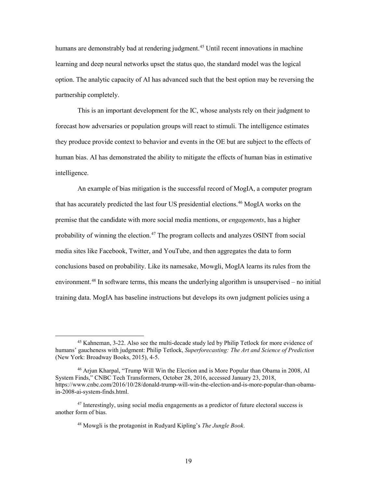humans are demonstrably bad at rendering judgment.<sup>45</sup> Until recent innovations in machine learning and deep neural networks upset the status quo, the standard model was the logical option. The analytic capacity of AI has advanced such that the best option may be reversing the partnership completely.

 This is an important development for the IC, whose analysts rely on their judgment to they produce provide context to behavior and events in the OE but are subject to the effects of forecast how adversaries or population groups will react to stimuli. The intelligence estimates human bias. AI has demonstrated the ability to mitigate the effects of human bias in estimative intelligence.

 An example of bias mitigation is the successful record of MogIA, a computer program that has accurately predicted the last four US presidential elections.<sup>46</sup> MogIA works on the media sites like Facebook, Twitter, and YouTube, and then aggregates the data to form premise that the candidate with more social media mentions, or *engagements*, has a higher probability of winning the election.<sup>47</sup> The program collects and analyzes OSINT from social conclusions based on probability. Like its namesake, Mowgli, MogIA learns its rules from the environment.<sup>48</sup> In software terms, this means the underlying algorithm is unsupervised – no initial training data. MogIA has baseline instructions but develops its own judgment policies using a

<span id="page-28-0"></span> humans' gaucheness with judgment: Philip Tetlock, *Superforecasting: The Art and Science of Prediction*  45 Kahneman, 3-22. Also see the multi-decade study led by Philip Tetlock for more evidence of (New York: Broadway Books, 2015), 4-5.

<span id="page-28-1"></span><sup>&</sup>lt;sup>46</sup> Arjun Kharpal, "Trump Will Win the Election and is More Popular than Obama in 2008, AI System Finds," CNBC Tech Transformers, October 28, 2016, accessed January 23, 2018, <https://www.cnbc.com/2016/10/28/donald-trump-will-win-the-election-and-is-more-popular-than-obama>in-2008-ai-system-finds.html.

<span id="page-28-3"></span><span id="page-28-2"></span><sup>&</sup>lt;sup>47</sup> Interestingly, using social media engagements as a predictor of future electoral success is another form of bias.

<sup>48</sup> Mowgli is the protagonist in Rudyard Kipling's *The Jungle Book*.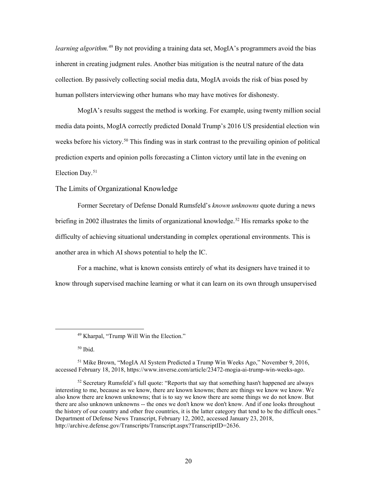<span id="page-29-0"></span>*learning algorithm.*[49](#page-29-1) By not providing a training data set, MogIA's programmers avoid the bias inherent in creating judgment rules. Another bias mitigation is the neutral nature of the data collection. By passively collecting social media data, MogIA avoids the risk of bias posed by human pollsters interviewing other humans who may have motives for dishonesty.

 MogIA's results suggest the method is working. For example, using twenty million social weeks before his victory.<sup>[50](#page-29-2)</sup> This finding was in stark contrast to the prevailing opinion of political media data points, MogIA correctly predicted Donald Trump's 2016 US presidential election win prediction experts and opinion polls forecasting a Clinton victory until late in the evening on Election Day.<sup>51</sup>

#### The Limits of Organizational Knowledge

briefing in 2002 illustrates the limits of organizational knowledge.<sup>[52](#page-29-4)</sup> His remarks spoke to the difficulty of achieving situational understanding in complex operational environments. This is Former Secretary of Defense Donald Rumsfeld's *known unknowns* quote during a news another area in which AI shows potential to help the IC.

 For a machine, what is known consists entirely of what its designers have trained it to know through supervised machine learning or what it can learn on its own through unsupervised

50 Ibid.

<sup>49</sup> Kharpal, "Trump Will Win the Election."

<span id="page-29-3"></span><span id="page-29-2"></span><span id="page-29-1"></span><sup>&</sup>lt;sup>51</sup> Mike Brown, "MogIA AI System Predicted a Trump Win Weeks Ago," November 9, 2016, accessed February 18, 2018, [https://www.inverse.com/article/23472-mogia-ai-trump-win-weeks-ago.](https://www.inverse.com/article/23472-mogia-ai-trump-win-weeks-ago)

<span id="page-29-4"></span> $52$  Secretary Rumsfeld's full quote: "Reports that say that something hasn't happened are always interesting to me, because as we know, there are known knowns; there are things we know we know. We also know there are known unknowns; that is to say we know there are some things we do not know. But there are also unknown unknowns -- the ones we don't know we don't know. And if one looks throughout the history of our country and other free countries, it is the latter category that tend to be the difficult ones." Department of Defense News Transcript, February 12, 2002, accessed January 23, 2018, <http://archive.defense.gov/Transcripts/Transcript.aspx?TranscriptID=2636>.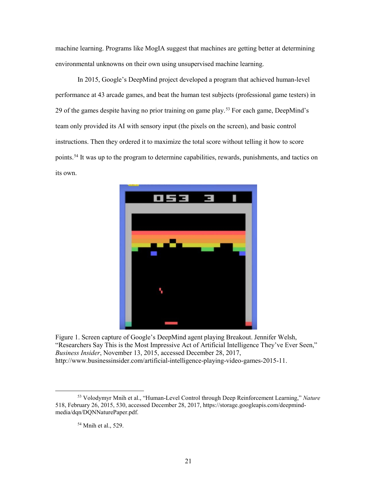<span id="page-30-0"></span> environmental unknowns on their own using unsupervised machine learning. machine learning. Programs like MogIA suggest that machines are getting better at determining

In 2015, Google's DeepMind project developed a program that achieved human-level performance at 43 arcade games, and beat the human test subjects (professional game testers) in 29 of the games despite having no prior training on game play.[53](#page-30-1) For each game, DeepMind's team only provided its AI with sensory input (the pixels on the screen), and basic control instructions. Then they ordered it to maximize the total score without telling it how to score points.<sup>[54](#page-30-2)</sup> It was up to the program to determine capabilities, rewards, punishments, and tactics on its own.



Figure 1. Screen capture of Google's DeepMind agent playing Breakout. Jennifer Welsh, "Researchers Say This is the Most Impressive Act of Artificial Intelligence They've Ever Seen," *Business Insider*, November 13, 2015, accessed December 28, 2017, [http://www.businessinsider.com/artificial-intelligence-playing-video-games-2015-11.](http://www.businessinsider.com/artificial-intelligence-playing-video-games-2015-11)

54 Mnih et al., 529.

<span id="page-30-2"></span><span id="page-30-1"></span> 518, February 26, 2015, 530, accessed December 28, 2017, <https://storage.googleapis.com/deepmind>-53 Volodymyr Mnih et al., "Human-Level Control through Deep Reinforcement Learning," *Nature*  media/dqn/DQNNaturePaper.pdf.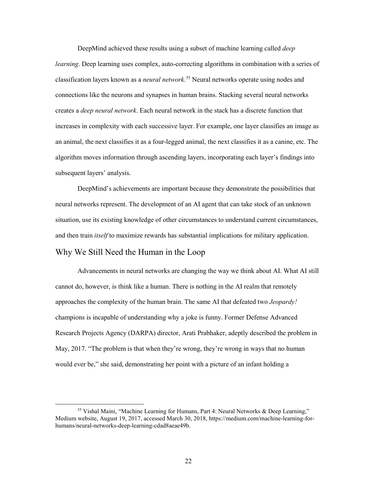<span id="page-31-0"></span> *learning*. Deep learning uses complex, auto-correcting algorithms in combination with a series of an animal, the next classifies it as a four-legged animal, the next classifies it as a canine, etc. The DeepMind achieved these results using a subset of machine learning called *deep*  classification layers known as a *neural network*. [55](#page-31-1) Neural networks operate using nodes and connections like the neurons and synapses in human brains. Stacking several neural networks creates a *deep neural network*. Each neural network in the stack has a discrete function that increases in complexity with each successive layer. For example, one layer classifies an image as algorithm moves information through ascending layers, incorporating each layer's findings into subsequent layers' analysis.

 situation, use its existing knowledge of other circumstances to understand current circumstances, and then train *itself* to maximize rewards has substantial implications for military application. Why We Still Need the Human in the Loop DeepMind's achievements are important because they demonstrate the possibilities that neural networks represent. The development of an AI agent that can take stock of an unknown

 $\overline{a}$ 

 Advancements in neural networks are changing the way we think about AI. What AI still champions is incapable of understanding why a joke is funny. Former Defense Advanced cannot do, however, is think like a human. There is nothing in the AI realm that remotely approaches the complexity of the human brain. The same AI that defeated two *Jeopardy!*  Research Projects Agency (DARPA) director, Arati Prabhaker, adeptly described the problem in May, 2017. "The problem is that when they're wrong, they're wrong in ways that no human would ever be," she said, demonstrating her point with a picture of an infant holding a

<span id="page-31-1"></span> Medium website, August 19, 2017, accessed March 30, 2018,<https://medium.com/machine-learning-for>-55 Vishal Maini, "Machine Learning for Humans, Part 4: Neural Networks & Deep Learning," humans/neural-networks-deep-learning-cdad8aeae49b.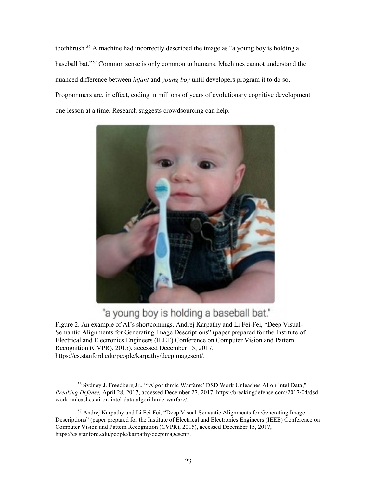Programmers are, in effect, coding in millions of years of evolutionary cognitive development toothbrush.[56](#page-32-0) A machine had incorrectly described the image as "a young boy is holding a baseball bat."[57](#page-32-1) Common sense is only common to humans. Machines cannot understand the nuanced difference between *infant* and *young boy* until developers program it to do so. one lesson at a time. Research suggests crowdsourcing can help.



# "a young boy is holding a baseball bat."

 Semantic Alignments for Generating Image Descriptions" (paper prepared for the Institute of Electrical and Electronics Engineers (IEEE) Conference on Computer Vision and Pattern https://cs.stanford.edu/people/karpathy/deepimagesent/. Figure 2. An example of AI's shortcomings. Andrej Karpathy and Li Fei-Fei, "Deep Visual-Recognition (CVPR), 2015), accessed December 15, 2017,

<span id="page-32-0"></span> $\overline{a}$ <sup>56</sup> Sydney J. Freedberg Jr., "'Algorithmic Warfare:' DSD Work Unleashes AI on Intel Data," *Breaking Defense,* April 28, 2017, accessed December 27, 2017,<https://breakingdefense.com/2017/04/dsd>work-unleashes-ai-on-intel-data-algorithmic-warfare/.

<span id="page-32-1"></span> Computer Vision and Pattern Recognition (CVPR), 2015), accessed December 15, 2017, 57 Andrej Karpathy and Li Fei-Fei, "Deep Visual-Semantic Alignments for Generating Image Descriptions" (paper prepared for the Institute of Electrical and Electronics Engineers (IEEE) Conference on <https://cs.stanford.edu/people/karpathy/deepimagesent>/.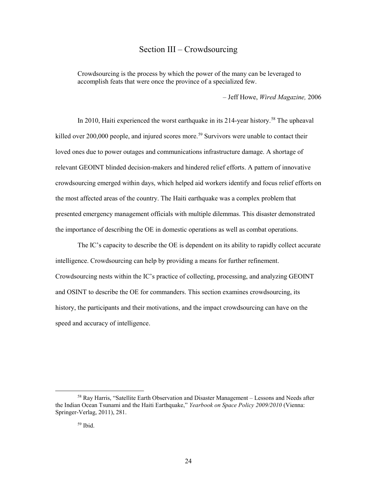# Section III – Crowdsourcing

<span id="page-33-0"></span> Crowdsourcing is the process by which the power of the many can be leveraged to accomplish feats that were once the province of a specialized few.

– Jeff Howe, *Wired Magazine,* 2006

killed over 200,000 people, and injured scores more.<sup>[59](#page-33-2)</sup> Survivors were unable to contact their loved ones due to power outages and communications infrastructure damage. A shortage of crowdsourcing emerged within days, which helped aid workers identify and focus relief efforts on In 2010, Haiti experienced the worst earthquake in its 214-year history.<sup>[58](#page-33-1)</sup> The upheaval relevant GEOINT blinded decision-makers and hindered relief efforts. A pattern of innovative the most affected areas of the country. The Haiti earthquake was a complex problem that presented emergency management officials with multiple dilemmas. This disaster demonstrated the importance of describing the OE in domestic operations as well as combat operations.

 intelligence. Crowdsourcing can help by providing a means for further refinement. Crowdsourcing nests within the IC's practice of collecting, processing, and analyzing GEOINT and OSINT to describe the OE for commanders. This section examines crowdsourcing, its speed and accuracy of intelligence. The IC's capacity to describe the OE is dependent on its ability to rapidly collect accurate history, the participants and their motivations, and the impact crowdsourcing can have on the

<span id="page-33-2"></span><span id="page-33-1"></span><sup>58</sup> Ray Harris, "Satellite Earth Observation and Disaster Management – Lessons and Needs after the Indian Ocean Tsunami and the Haiti Earthquake," *Yearbook on Space Policy 2009/2010* (Vienna: Springer-Verlag, 2011), 281.

 59 Ibid.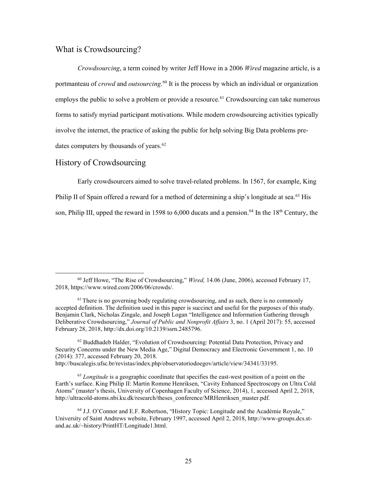# <span id="page-34-0"></span>What is Crowdsourcing?

 *Crowdsourcing*, a term coined by writer Jeff Howe in a 2006 *Wired* magazine article, is a portmanteau of *crowd* and *outsourcing*. [60](#page-34-1) It is the process by which an individual or organization employs the public to solve a problem or provide a resource.<sup>[61](#page-34-2)</sup> Crowdsourcing can take numerous forms to satisfy myriad participant motivations. While modern crowdsourcing activities typically involve the internet, the practice of asking the public for help solving Big Data problems predates computers by thousands of years.<sup>62</sup>

## History of Crowdsourcing

 $\overline{a}$ 

Philip II of Spain offered a reward for a method of determining a ship's longitude at sea.<sup>63</sup> His son, Philip III, upped the reward in 1598 to 6,000 ducats and a pension.<sup>64</sup> In the  $18<sup>th</sup>$  Century, the Early crowdsourcers aimed to solve travel-related problems. In 1567, for example, King

<span id="page-34-3"></span>62 Buddhadeb Halder, "Evolution of Crowdsourcing: Potential Data Protection, Privacy and Security Concerns under the New Media Age," Digital Democracy and Electronic Government 1, no. 10 (2014): 377, accessed February 20, 2018.

<http://buscalegis.ufsc.br/revistas/index.php/observatoriodoegov/article/view/34341/33195>.

<span id="page-34-4"></span> <sup>63</sup>*Longitude* is a geographic coordinate that specifies the east-west position of a point on the Earth's surface. King Philip II: Martin Romme Henriksen, "Cavity Enhanced Spectroscopy on Ultra Cold Atoms" (master's thesis, University of Copenhagen Faculty of Science, 2014), 1, accessed April 2, 2018, [http://ultracold-atoms.nbi.ku.dk/research/theses\\_conference/MRHenriksen\\_master.pdf.](http://ultracold-atoms.nbi.ku.dk/research/theses_conference/MRHenriksen_master.pdf)

<span id="page-34-1"></span><sup>60</sup> Jeff Howe, "The Rise of Crowdsourcing," *Wired,* 14.06 (June, 2006), accessed February 17, 2018, [https://www.wired.com/2006/06/crowds/](https://www.wired.com/2006/06/crowds).

<span id="page-34-2"></span> $<sup>61</sup>$  There is no governing body regulating crowdsourcing, and as such, there is no commonly</sup> accepted definition. The definition used in this paper is succinct and useful for the purposes of this study. Benjamin Clark, Nicholas Zingale, and Joseph Logan "Intelligence and Information Gathering through Deliberative Crowdsourcing," *Journal of Public and Nonprofit Affairs* 3, no. 1 (April 2017): 55, accessed February 28, 2018, <http://dx.doi.org/10.2139/ssrn.2485796>.

<span id="page-34-5"></span> 64 J.J. O'Connor and E.F. Robertson, "History Topic: Longitude and the Académie Royale," University of Saint Andrews website, February 1997, accessed April 2, 2018, <http://www-groups.dcs.st>and.ac.uk/~history/PrintHT/Longitude1.html.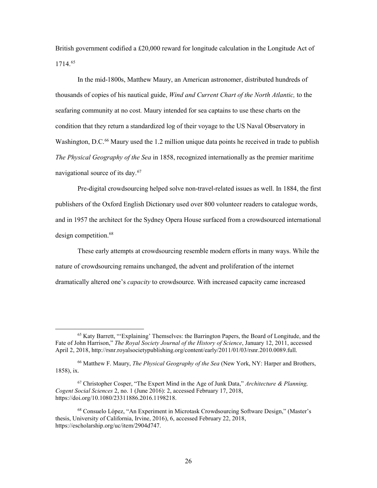British government codified a £20,000 reward for longitude calculation in the Longitude Act of 1714.[65](#page-35-0)

 In the mid-1800s, Matthew Maury, an American astronomer, distributed hundreds of thousands of copies of his nautical guide, *Wind and Current Chart of the North Atlantic,* to the seafaring community at no cost*.* Maury intended for sea captains to use these charts on the condition that they return a standardized log of their voyage to the US Naval Observatory in Washington, D.C.<sup>66</sup> Maury used the 1.2 million unique data points he received in trade to publish  *The Physical Geography of the Sea* in 1858, recognized internationally as the premier maritime navigational source of its day. [67](#page-35-2) 

 publishers of the Oxford English Dictionary used over 800 volunteer readers to catalogue words, and in 1957 the architect for the Sydney Opera House surfaced from a crowdsourced international Pre-digital crowdsourcing helped solve non-travel-related issues as well. In 1884, the first design competition.<sup>[68](#page-35-3)</sup>

 dramatically altered one's *capacity* to crowdsource. With increased capacity came increased These early attempts at crowdsourcing resemble modern efforts in many ways. While the nature of crowdsourcing remains unchanged, the advent and proliferation of the internet

<span id="page-35-0"></span><sup>65</sup> Katy Barrett, "'Explaining' Themselves: the Barrington Papers, the Board of Longitude, and the Fate of John Harrison," *The Royal Society Journal of the History of Science*, January 12, 2011, accessed April 2, 2018, [http://rsnr.royalsocietypublishing.org/content/early/2011/01/03/rsnr.2010.0089.full.](http://rsnr.royalsocietypublishing.org/content/early/2011/01/03/rsnr.2010.0089.full)

<span id="page-35-1"></span><sup>66</sup> Matthew F. Maury, *The Physical Geography of the Sea* (New York, NY: Harper and Brothers, 1858), ix.

<span id="page-35-2"></span> 67 Christopher Cosper, "The Expert Mind in the Age of Junk Data," *Architecture & Planning, Cogent Social Sciences* 2, no. 1 (June 2016): 2, accessed February 17, 2018, [https://doi.org/10.1080/23311886.2016.1198218.](https://doi.org/10.1080/23311886.2016.1198218)

<span id="page-35-3"></span><sup>68</sup> Consuelo López, "An Experiment in Microtask Crowdsourcing Software Design," (Master's thesis, University of California, Irvine, 2016), 6, accessed February 22, 2018, <https://escholarship.org/uc/item/2904d747>.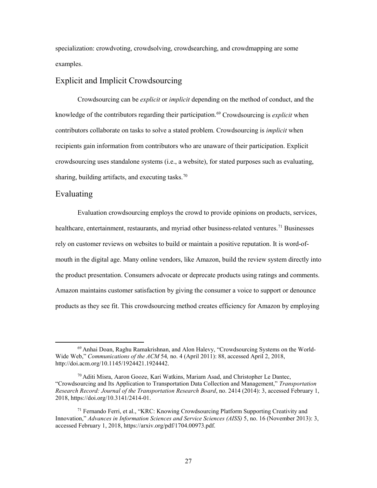<span id="page-36-0"></span> specialization: crowdvoting, crowdsolving, crowdsearching, and crowdmapping are some examples.

### Explicit and Implicit Crowdsourcing

 Crowdsourcing can be *explicit* or *implicit* depending on the method of conduct, and the contributors collaborate on tasks to solve a stated problem. Crowdsourcing is *implicit* when recipients gain information from contributors who are unaware of their participation. Explicit knowledge of the contributors regarding their participation.<sup>69</sup> Crowdsourcing is *explicit* when crowdsourcing uses standalone systems (i.e., a website), for stated purposes such as evaluating, sharing, building artifacts, and executing tasks.<sup>70</sup>

### Evaluating

 $\overline{a}$ 

Evaluation crowdsourcing employs the crowd to provide opinions on products, services, healthcare, entertainment, restaurants, and myriad other business-related ventures.<sup>71</sup> Businesses rely on customer reviews on websites to build or maintain a positive reputation. It is word-ofmouth in the digital age. Many online vendors, like Amazon, build the review system directly into the product presentation. Consumers advocate or deprecate products using ratings and comments. Amazon maintains customer satisfaction by giving the consumer a voice to support or denounce products as they see fit. This crowdsourcing method creates efficiency for Amazon by employing

<span id="page-36-1"></span> Wide Web," *Communications of the ACM* 54*,* no. 4 (April 2011): 88, accessed April 2, 2018, 69 Anhai Doan, Raghu Ramakrishnan, and Alon Halevy, "Crowdsourcing Systems on the World<http://doi.acm.org/10.1145/1924421.1924442>.

<span id="page-36-2"></span><sup>&</sup>lt;sup>70</sup> Aditi Misra, Aaron Gooze, Kari Watkins, Mariam Asad, and Christopher Le Dantec, "Crowdsourcing and Its Application to Transportation Data Collection and Management," *Transportation Research Record: Journal of the Transportation Research Board*, no. 2414 (2014): 3, accessed February 1, 2018, [https://doi.org/10.3141/2414-01.](https://doi.org/10.3141/2414-01)

<span id="page-36-3"></span> $71$  Fernando Ferri, et al., "KRC: Knowing Crowdsourcing Platform Supporting Creativity and Innovation," *Advances in Information Sciences and Service Sciences (AISS)* 5, no. 16 (November 2013): 3, accessed February 1, 2018, [https://arxiv.org/pdf/1704.00973.pdf.](https://arxiv.org/pdf/1704.00973.pdf)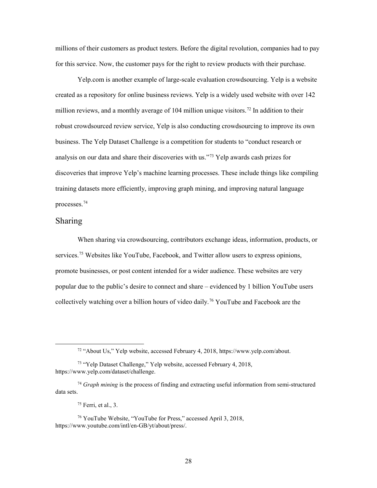<span id="page-37-0"></span> millions of their customers as product testers. Before the digital revolution, companies had to pay for this service. Now, the customer pays for the right to review products with their purchase.

 robust crowdsourced review service, Yelp is also conducting crowdsourcing to improve its own business. The Yelp Dataset Challenge is a competition for students to "conduct research or [Yelp.com](https://Yelp.com) is another example of large-scale evaluation crowdsourcing. Yelp is a website created as a repository for online business reviews. Yelp is a widely used website with over 142 million reviews, and a monthly average of 104 million unique visitors.<sup>[72](#page-37-1)</sup> In addition to their analysis on our data and share their discoveries with us."[73](#page-37-2) Yelp awards cash prizes for discoveries that improve Yelp's machine learning processes. These include things like compiling training datasets more efficiently, improving graph mining, and improving natural language processes.[74](#page-37-3)

### Sharing

<span id="page-37-1"></span> $\overline{a}$ 

 When sharing via crowdsourcing, contributors exchange ideas, information, products, or promote businesses, or post content intended for a wider audience. These websites are very popular due to the public's desire to connect and share – evidenced by 1 billion YouTube users collectively watching over a billion hours of video daily.<sup>[76](#page-37-5)</sup> YouTube and Facebook are the services.<sup>75</sup> Websites like YouTube, Facebook, and Twitter allow users to express opinions,

 $75$  Ferri, et al., 3.

<sup>72 &</sup>quot;About Us," Yelp website, accessed February 4, 2018, [https://www.yelp.com/about.](https://www.yelp.com/about)

<span id="page-37-2"></span><sup>73 &</sup>quot;Yelp Dataset Challenge," Yelp website, accessed February 4, 2018, <https://www.yelp.com/dataset/challenge>.

<span id="page-37-3"></span><sup>74</sup>*Graph mining* is the process of finding and extracting useful information from semi-structured data sets.

<span id="page-37-5"></span><span id="page-37-4"></span><sup>76</sup> YouTube Website, "YouTube for Press," accessed April 3, 2018, <https://www.youtube.com/intl/en-GB/yt/about/press>/.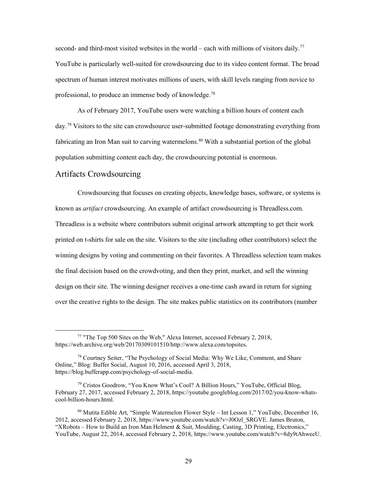<span id="page-38-0"></span>second- and third-most visited websites in the world – each with millions of visitors daily.<sup>[77](#page-38-1)</sup> YouTube is particularly well-suited for crowdsourcing due to its video content format. The broad spectrum of human interest motivates millions of users, with skill levels ranging from novice to professional, to produce an immense body of knowledge.<sup>78</sup>

 population submitting content each day, the crowdsourcing potential is enormous. Artifacts Crowdsourcing As of February 2017, YouTube users were watching a billion hours of content each day.<sup>[79](#page-38-3)</sup> Visitors to the site can crowdsource user-submitted footage demonstrating everything from fabricating an Iron Man suit to carving watermelons.<sup>80</sup> With a substantial portion of the global

<span id="page-38-1"></span> $\overline{a}$ 

Crowdsourcing that focuses on creating objects, knowledge bases, software, or systems is known as *artifact* crowdsourcing. An example of artifact crowdsourcing is [Threadless.com](https://Threadless.com). Threadless is a website where contributors submit original artwork attempting to get their work printed on t-shirts for sale on the site. Visitors to the site (including other contributors) select the winning designs by voting and commenting on their favorites. A Threadless selection team makes the final decision based on the crowdvoting, and then they print, market, and sell the winning design on their site. The winning designer receives a one-time cash award in return for signing over the creative rights to the design. The site makes public statistics on its contributors (number

<sup>&</sup>lt;sup>77</sup> "The Top 500 Sites on the Web," Alexa Internet, accessed February 2, 2018, <https://web.archive.org/web/20170309101510/http://www.alexa.com/topsites>.

<span id="page-38-2"></span><sup>&</sup>lt;sup>78</sup> Courtney Seiter, "The Psychology of Social Media: Why We Like, Comment, and Share Online," Blog: Buffer Social, August 10, 2016, accessed April 3, 2018, [https://blog.bufferapp.com/psychology-of-social-media.](https://blog.bufferapp.com/psychology-of-social-media)

<span id="page-38-3"></span><sup>79</sup> Cristos Goodrow, "You Know What's Cool? A Billion Hours," YouTube, Official Blog, February 27, 2017, accessed February 2, 2018, <https://youtube.googleblog.com/2017/02/you-know-whats>cool-billion-hours.html.

<span id="page-38-4"></span> 80 Mutita Edible Art, "Simple Watermelon Flower Style – Int Lesson 1," YouTube, December 16, 2012, accessed February 2, 2018, [https://www.youtube.com/watch?v=J0Ozl\\_SRGVE.](https://www.youtube.com/watch?v=J0Ozl_SRGVE) James Bruton, "XRobots – How to Build an Iron Man Helment & Suit, Moulding, Casting, 3D Printing, Electronics," YouTube, August 22, 2014, accessed February 2, 2018,<https://www.youtube.com/watch?v=8dy9tAhweeU>.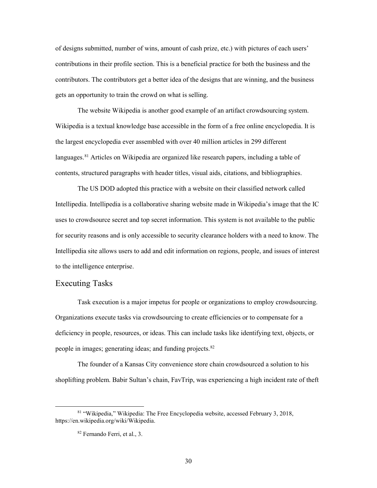<span id="page-39-0"></span> of designs submitted, number of wins, amount of cash prize, etc.) with pictures of each users' contributions in their profile section. This is a beneficial practice for both the business and the contributors. The contributors get a better idea of the designs that are winning, and the business gets an opportunity to train the crowd on what is selling.

languages.<sup>[81](#page-39-1)</sup> Articles on Wikipedia are organized like research papers, including a table of The website Wikipedia is another good example of an artifact crowdsourcing system. Wikipedia is a textual knowledge base accessible in the form of a free online encyclopedia. It is the largest encyclopedia ever assembled with over 40 million articles in 299 different contents, structured paragraphs with header titles, visual aids, citations, and bibliographies.

 uses to crowdsource secret and top secret information. This system is not available to the public for security reasons and is only accessible to security clearance holders with a need to know. The The US DOD adopted this practice with a website on their classified network called Intellipedia. Intellipedia is a collaborative sharing website made in Wikipedia's image that the IC Intellipedia site allows users to add and edit information on regions, people, and issues of interest to the intelligence enterprise.

### Executing Tasks

 $\overline{a}$ 

 Task execution is a major impetus for people or organizations to employ crowdsourcing. deficiency in people, resources, or ideas. This can include tasks like identifying text, objects, or people in images; generating ideas; and funding projects.<sup>82</sup> Organizations execute tasks via crowdsourcing to create efficiencies or to compensate for a

 The founder of a Kansas City convenience store chain crowdsourced a solution to his shoplifting problem. Babir Sultan's chain, FavTrip, was experiencing a high incident rate of theft

<span id="page-39-2"></span><span id="page-39-1"></span><sup>81 &</sup>quot;Wikipedia," Wikipedia: The Free Encyclopedia website, accessed February 3, 2018, [https://en.wikipedia.org/wiki/Wikipedia.](https://en.wikipedia.org/wiki/Wikipedia)

<sup>82</sup> Fernando Ferri, et al., 3.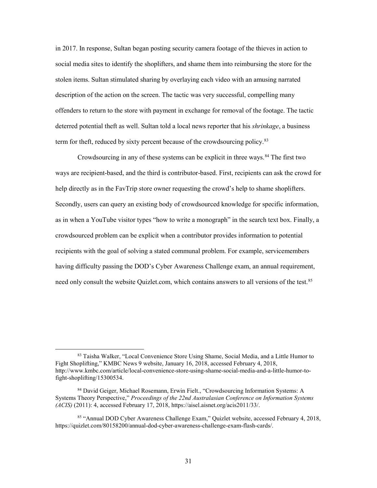social media sites to identify the shoplifters, and shame them into reimbursing the store for the stolen items. Sultan stimulated sharing by overlaying each video with an amusing narrated description of the action on the screen. The tactic was very successful, compelling many deterred potential theft as well. Sultan told a local news reporter that his *shrinkage*, a business term for theft, reduced by sixty percent because of the crowdsourcing policy.<sup>[83](#page-40-0)</sup> in 2017. In response, Sultan began posting security camera footage of the thieves in action to offenders to return to the store with payment in exchange for removal of the footage. The tactic

Crowdsourcing in any of these systems can be explicit in three ways.<sup>[84](#page-40-1)</sup> The first two help directly as in the FavTrip store owner requesting the crowd's help to shame shoplifters. recipients with the goal of solving a stated communal problem. For example, servicemembers need only consult the website [Quizlet.com,](https://Quizlet.com) which contains answers to all versions of the test. [85](#page-40-2)  ways are recipient-based, and the third is contributor-based. First, recipients can ask the crowd for Secondly, users can query an existing body of crowdsourced knowledge for specific information, as in when a YouTube visitor types "how to write a monograph" in the search text box. Finally, a crowdsourced problem can be explicit when a contributor provides information to potential having difficulty passing the DOD's Cyber Awareness Challenge exam, an annual requirement,

<span id="page-40-0"></span><sup>83</sup> Taisha Walker, "Local Convenience Store Using Shame, Social Media, and a Little Humor to Fight Shoplifting," KMBC News 9 website, January 16, 2018, accessed February 4, 2018, <http://www.kmbc.com/article/local-convenience-store-using-shame-social-media-and-a-little-humor-to>fight-shoplifting/15300534.

<span id="page-40-1"></span><sup>84</sup> David Geiger, Michael Rosemann, Erwin Fielt., "Crowdsourcing Information Systems: A *(ACIS)* (2011): 4, accessed February 17, 2018,<https://aisel.aisnet.org/acis2011/33>/. Systems Theory Perspective," *Proceedings of the 22nd Australasian Conference on Information Systems* 

<span id="page-40-2"></span> 85 "Annual DOD Cyber Awareness Challenge Exam," Quizlet website, accessed February 4, 2018, [https://quizlet.com/80158200/annual-dod-cyber-awareness-challenge-exam-flash-cards/](https://quizlet.com/80158200/annual-dod-cyber-awareness-challenge-exam-flash-cards).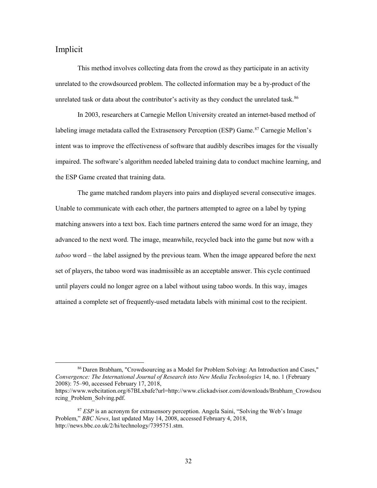### <span id="page-41-0"></span>Implicit

 $\overline{a}$ 

unrelated task or data about the contributor's activity as they conduct the unrelated task.<sup>86</sup> This method involves collecting data from the crowd as they participate in an activity unrelated to the crowdsourced problem. The collected information may be a by-product of the

 In 2003, researchers at Carnegie Mellon University created an internet-based method of the ESP Game created that training data. labeling image metadata called the Extrasensory Perception (ESP) Game.<sup>87</sup> Carnegie Mellon's intent was to improve the effectiveness of software that audibly describes images for the visually impaired. The software's algorithm needed labeled training data to conduct machine learning, and

 Unable to communicate with each other, the partners attempted to agree on a label by typing matching answers into a text box. Each time partners entered the same word for an image, they *taboo* word – the label assigned by the previous team. When the image appeared before the next set of players, the taboo word was inadmissible as an acceptable answer. This cycle continued attained a complete set of frequently-used metadata labels with minimal cost to the recipient. The game matched random players into pairs and displayed several consecutive images. advanced to the next word. The image, meanwhile, recycled back into the game but now with a until players could no longer agree on a label without using taboo words. In this way, images attained a complete set of frequently-used metadata labels with minimal cost to the recipient.<br>
<sup>86</sup> Daren Brabham, "Crowdsourcing as a Model for Problem Solving: An Introduction and Cases,"

<span id="page-41-1"></span> *Convergence: The International Journal of Research into New Media Technologies* 14, no. 1 (February 2008): 75–90, accessed February 17, 2018,

[https://www.webcitation.org/67BLxbafe?url=http://www.clickadvisor.com/downloads/Brabham\\_Crowdsou](https://www.webcitation.org/67BLxbafe?url=http://www.clickadvisor.com/downloads/Brabham_Crowdsou)  rcing\_Problem\_Solving.pdf.

<span id="page-41-2"></span> <sup>87</sup>*ESP* is an acronym for extrasensory perception. Angela Saini, "Solving the Web's Image Problem," *BBC News*, last updated May 14, 2008, accessed February 4, 2018, [http://news.bbc.co.uk/2/hi/technology/7395751.stm.](http://news.bbc.co.uk/2/hi/technology/7395751.stm)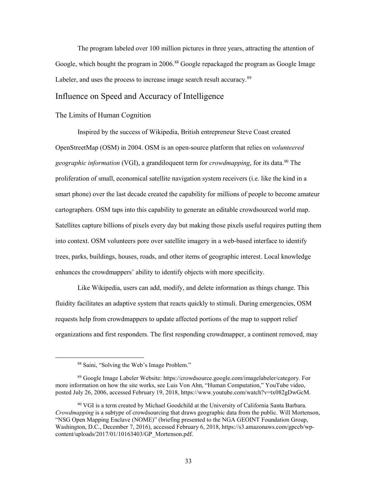<span id="page-42-0"></span>Labeler, and uses the process to increase image search result accuracy.<sup>[89](#page-42-2)</sup> The program labeled over 100 million pictures in three years, attracting the attention of Google, which bought the program in 2006.<sup>88</sup> Google repackaged the program as Google Image

### Influence on Speed and Accuracy of Intelligence

#### The Limits of Human Cognition

 Inspired by the success of Wikipedia, British entrepreneur Steve Coast created geographic information (VGI), a grandiloquent term for *crowdmapping*, for its data.<sup>90</sup> The proliferation of small, economical satellite navigation system receivers (i.e. like the kind in a cartographers. OSM taps into this capability to generate an editable crowdsourced world map. into context. OSM volunteers pore over satellite imagery in a web-based interface to identify OpenStreetMap (OSM) in 2004. OSM is an open-source platform that relies on *volunteered*  smart phone) over the last decade created the capability for millions of people to become amateur Satellites capture billions of pixels every day but making those pixels useful requires putting them trees, parks, buildings, houses, roads, and other items of geographic interest. Local knowledge enhances the crowdmappers' ability to identify objects with more specificity.

 Like Wikipedia, users can add, modify, and delete information as things change. This requests help from crowdmappers to update affected portions of the map to support relief organizations and first responders. The first responding crowdmapper, a continent removed, may fluidity facilitates an adaptive system that reacts quickly to stimuli. During emergencies, OSM

<sup>88</sup> Saini, "Solving the Web's Image Problem."

<span id="page-42-2"></span><span id="page-42-1"></span> more information on how the site works, see Luis Von Ahn, "Human Computation," YouTube video, 89 Google Image Labeler Website: [https://crowdsource.google.com/imagelabeler/category.](https://crowdsource.google.com/imagelabeler/category) For posted July 26, 2006, accessed February 19, 2018, <https://www.youtube.com/watch?v=tx082gDwGcM>.

<span id="page-42-3"></span><sup>90</sup> VGI is a term created by Michael Goodchild at the University of California Santa Barbara. *Crowdmapping* is a subtype of crowdsourcing that draws geographic data from the public. Will Mortenson, "NSG Open Mapping Enclave (NOME)" (briefing presented to the NGA GEOINT Foundation Group, Washington, D.C., December 7, 2016), accessed February 6, 2018,<https://s3.amazonaws.com/gpccb/wp>content/uploads/2017/01/10163403/GP\_Mortenson.pdf.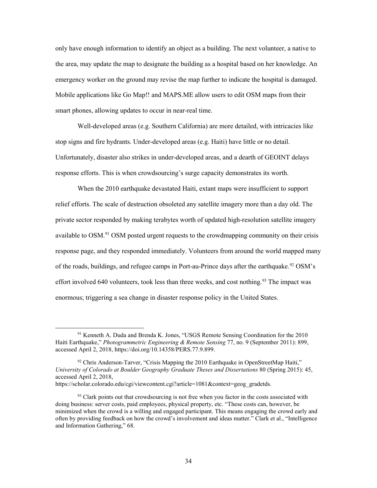the area, may update the map to designate the building as a hospital based on her knowledge. An Mobile applications like Go Map!! and MAPS.ME allow users to edit OSM maps from their smart phones, allowing updates to occur in near-real time. only have enough information to identify an object as a building. The next volunteer, a native to emergency worker on the ground may revise the map further to indicate the hospital is damaged.

 Well-developed areas (e.g. Southern California) are more detailed, with intricacies like Unfortunately, disaster also strikes in under-developed areas, and a dearth of GEOINT delays stop signs and fire hydrants. Under-developed areas (e.g. Haiti) have little or no detail.

 response efforts. This is when crowdsourcing's surge capacity demonstrates its worth. When the 2010 earthquake devastated Haiti, extant maps were insufficient to support When the 2010 earthquake devastated Haiti, extant maps were insufficient to support relief efforts. The scale of destruction obsoleted any satellite imagery more than a day old. The private sector responded by making terabytes worth of updated high-resolution satellite imagery available to OSM.<sup>91</sup> OSM posted urgent requests to the crowdmapping community on their crisis response page, and they responded immediately. Volunteers from around the world mapped many of the roads, buildings, and refugee camps in Port-au-Prince days after the earthquake.<sup>92</sup> OSM's effort involved 640 volunteers, took less than three weeks, and cost nothing.<sup>93</sup> The impact was enormous; triggering a sea change in disaster response policy in the United States.

<span id="page-43-0"></span><sup>91</sup> Kenneth A. Duda and Brenda K. Jones, "USGS Remote Sensing Coordination for the 2010 Haiti Earthquake," *Photogrammetric Engineering & Remote Sensing* 77, no. 9 (September 2011): 899, accessed April 2, 2018,<https://doi.org/10.14358/PERS.77.9.899>.

<span id="page-43-1"></span> $92$  Chris Anderson-Tarver, "Crisis Mapping the 2010 Earthquake in OpenStreetMap Haiti," *University of Colorado at Boulder Geography Graduate Theses and Dissertations* 80 (Spring 2015): 45, accessed April 2, 2018,

[https://scholar.colorado.edu/cgi/viewcontent.cgi?article=1081&context=geog\\_gradetds.](https://scholar.colorado.edu/cgi/viewcontent.cgi?article=1081&context=geog_gradetds)

<span id="page-43-2"></span> $93$  Clark points out that crowdsourcing is not free when you factor in the costs associated with minimized when the crowd is a willing and engaged participant. This means engaging the crowd early and doing business: server costs, paid employees, physical property, etc. "These costs can, however, be often by providing feedback on how the crowd's involvement and ideas matter." Clark et al., "Intelligence and Information Gathering," 68.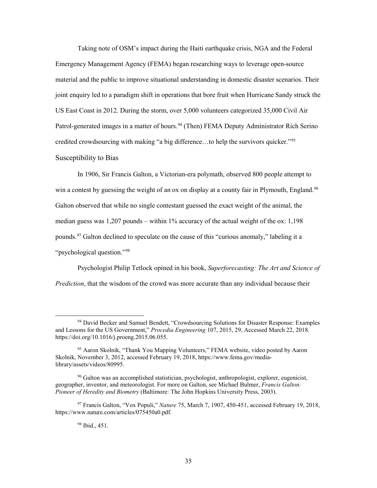<span id="page-44-0"></span> joint enquiry led to a paradigm shift in operations that bore fruit when Hurricane Sandy struck the US East Coast in 2012. During the storm, over 5,000 volunteers categorized 35,000 Civil Air Patrol-generated images in a matter of hours.<sup>94</sup> (Then) FEMA Deputy Administrator Rich Serino Taking note of OSM's impact during the Haiti earthquake crisis, NGA and the Federal Emergency Management Agency (FEMA) began researching ways to leverage open-source material and the public to improve situational understanding in domestic disaster scenarios. Their credited crowdsourcing with making "a big difference…to help the survivors quicker."[95](#page-44-2) Susceptibility to Bias

 In 1906, Sir Francis Galton, a Victorian-era polymath, observed 800 people attempt to win a contest by guessing the weight of an ox on display at a county fair in Plymouth, England.<sup>[96](#page-44-3)</sup> Galton observed that while no single contestant guessed the exact weight of the animal, the median guess was 1,207 pounds – within 1% accuracy of the actual weight of the ox: 1,198 pounds.<sup>[97](#page-44-4)</sup> Galton declined to speculate on the cause of this "curious anomaly," labeling it a "psychological question."[98](#page-44-5)

Psychologist Philip Tetlock opined in his book, *Superforecasting: The Art and Science of Prediction*, that the wisdom of the crowd was more accurate than any individual because their

<span id="page-44-1"></span><sup>&</sup>lt;sup>94</sup> David Becker and Samuel Bendett, "Crowdsourcing Solutions for Disaster Response: Examples and Lessons for the US Government," *Procedia Engineering* 107, 2015, 29, Accessed March 22, 2018. <https://doi.org/10.1016/j.proeng.2015.06.055>.

<span id="page-44-2"></span><sup>&</sup>lt;sup>95</sup> Aaron Skolnik, "Thank You Mapping Volunteers," FEMA website, video posted by Aaron Skolnik, November 3, 2012, accessed February 19, 2018, <https://www.fema.gov/media>library/assets/videos/80995.

<span id="page-44-3"></span><sup>&</sup>lt;sup>96</sup> Galton was an accomplished statistician, psychologist, anthropologist, explorer, eugenicist, geographer, inventor, and meteorologist. For more on Galton, see Michael Bulmer, *Francis Galton: Pioneer of Heredity and Biometry* (Baltimore: The John Hopkins University Press, 2003).

<span id="page-44-5"></span><span id="page-44-4"></span><sup>97</sup> Francis Galton, "Vox Populi," *Nature* 75, March 7, 1907, 450-451, accessed February 19, 2018, <https://www.nature.com/articles/075450a0.pdf>.

 98 Ibid., 451.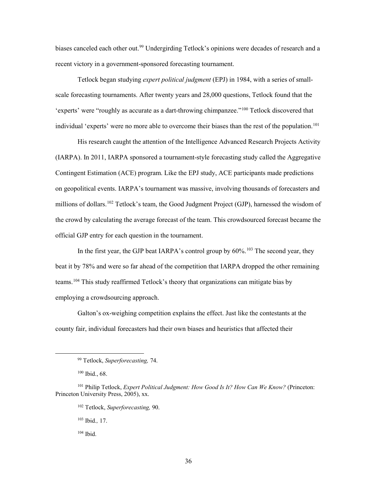recent victory in a government-sponsored forecasting tournament. biases canceled each other out.<sup>99</sup> Undergirding Tetlock's opinions were decades of research and a

 Tetlock began studying *expert political judgment* (EPJ) in 1984, with a series of small- scale forecasting tournaments. After twenty years and 28,000 questions, Tetlock found that the individual 'experts' were no more able to overcome their biases than the rest of the population.<sup>101</sup> 'experts' were "roughly as accurate as a dart-throwing chimpanzee."[100](#page-45-1) Tetlock discovered that

 His research caught the attention of the Intelligence Advanced Research Projects Activity (IARPA). In 2011, IARPA sponsored a tournament-style forecasting study called the Aggregative Contingent Estimation (ACE) program. Like the EPJ study, ACE participants made predictions official GJP entry for each question in the tournament. on geopolitical events. IARPA's tournament was massive, involving thousands of forecasters and millions of dollars.<sup>[102](#page-45-3)</sup> Tetlock's team, the Good Judgment Project (GJP), harnessed the wisdom of the crowd by calculating the average forecast of the team. This crowdsourced forecast became the

In the first year, the GJP beat IARPA's control group by  $60\%$ .<sup>[103](#page-45-4)</sup> The second year, they beat it by 78% and were so far ahead of the competition that IARPA dropped the other remaining teams.<sup>[104](#page-45-5)</sup> This study reaffirmed Tetlock's theory that organizations can mitigate bias by employing a crowdsourcing approach.

 county fair, individual forecasters had their own biases and heuristics that affected their Galton's ox-weighing competition explains the effect. Just like the contestants at the

<span id="page-45-0"></span> $\overline{a}$ 

103 Ibid.*,* 17.

104 Ibid.

 99 Tetlock, *Superforecasting,* 74.

 100 Ibid., 68.

<span id="page-45-5"></span><span id="page-45-4"></span><span id="page-45-3"></span><span id="page-45-2"></span><span id="page-45-1"></span><sup>101</sup> Philip Tetlock, *Expert Political Judgment: How Good Is It? How Can We Know?* (Princeton: Princeton University Press, 2005), xx.

<sup>102</sup> Tetlock, *Superforecasting,* 90.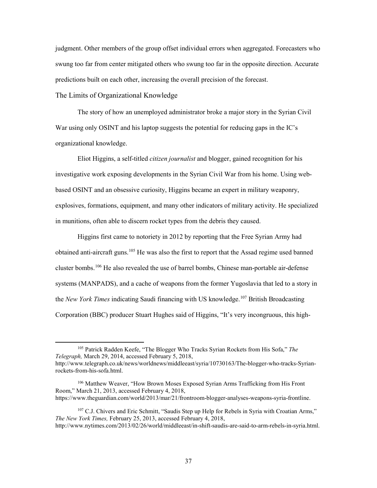<span id="page-46-0"></span>judgment. Other members of the group offset individual errors when aggregated. Forecasters who swung too far from center mitigated others who swung too far in the opposite direction. Accurate predictions built on each other, increasing the overall precision of the forecast.

The Limits of Organizational Knowledge

 The story of how an unemployed administrator broke a major story in the Syrian Civil War using only OSINT and his laptop suggests the potential for reducing gaps in the IC's organizational knowledge.

 explosives, formations, equipment, and many other indicators of military activity. He specialized Eliot Higgins, a self-titled *citizen journalist* and blogger, gained recognition for his investigative work exposing developments in the Syrian Civil War from his home. Using webbased OSINT and an obsessive curiosity, Higgins became an expert in military weaponry, in munitions, often able to discern rocket types from the debris they caused.

 systems (MANPADS), and a cache of weapons from the former Yugoslavia that led to a story in Corporation (BBC) producer Stuart Hughes said of Higgins, "It's very incongruous, this high-Higgins first came to notoriety in 2012 by reporting that the Free Syrian Army had obtained anti-aircraft guns.<sup>105</sup> He was also the first to report that the Assad regime used banned cluster bombs.<sup>[106](#page-46-2)</sup> He also revealed the use of barrel bombs, Chinese man-portable air-defense the *New York Times* indicating Saudi financing with US knowledge[.107](#page-46-3) British Broadcasting

 $\overline{a}$ 

<https://www.theguardian.com/world/2013/mar/21/frontroom-blogger-analyses-weapons-syria-frontline>.

<span id="page-46-1"></span><sup>105</sup> Patrick Radden Keefe, "The Blogger Who Tracks Syrian Rockets from His Sofa," *The Telegraph,* March 29, 2014, accessed February 5, 2018, <http://www.telegraph.co.uk/news/worldnews/middleeast/syria/10730163/The-blogger-who-tracks-Syrian>-

rockets-from-his-sofa.html.

<span id="page-46-2"></span><sup>106</sup> Matthew Weaver, "How Brown Moses Exposed Syrian Arms Trafficking from His Front Room," March 21, 2013, accessed February 4, 2018,

<span id="page-46-3"></span><sup>&</sup>lt;sup>107</sup> C.J. Chivers and Eric Schmitt, "Saudis Step up Help for Rebels in Syria with Croatian Arms," *The New York Times,* February 25, 2013, accessed February 4, 2018,

[http://www.nytimes.com/2013/02/26/world/middleeast/in-shift-saudis-are-said-to-arm-rebels-in-syria.html.](http://www.nytimes.com/2013/02/26/world/middleeast/in-shift-saudis-are-said-to-arm-rebels-in-syria.html)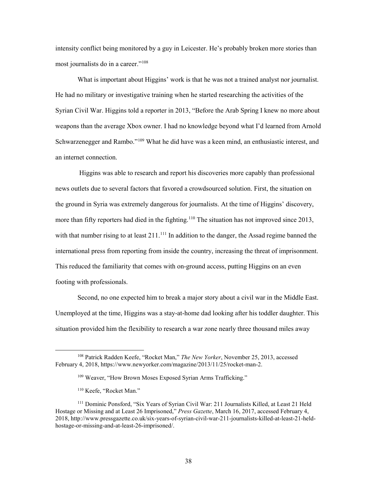intensity conflict being monitored by a guy in Leicester. He's probably broken more stories than most journalists do in a career."<sup>108</sup>

 What is important about Higgins' work is that he was not a trained analyst nor journalist. Syrian Civil War. Higgins told a reporter in 2013, "Before the Arab Spring I knew no more about He had no military or investigative training when he started researching the activities of the weapons than the average Xbox owner. I had no knowledge beyond what I'd learned from Arnold Schwarzenegger and Rambo."<sup>[109](#page-47-1)</sup> What he did have was a keen mind, an enthusiastic interest, and an internet connection.

 Higgins was able to research and report his discoveries more capably than professional the ground in Syria was extremely dangerous for journalists. At the time of Higgins' discovery, with that number rising to at least  $211$ .<sup>111</sup> In addition to the danger, the Assad regime banned the international press from reporting from inside the country, increasing the threat of imprisonment. footing with professionals. news outlets due to several factors that favored a crowdsourced solution. First, the situation on more than fifty reporters had died in the fighting.<sup>110</sup> The situation has not improved since 2013, This reduced the familiarity that comes with on-ground access, putting Higgins on an even

Second, no one expected him to break a major story about a civil war in the Middle East. Unemployed at the time, Higgins was a stay-at-home dad looking after his toddler daughter. This situation provided him the flexibility to research a war zone nearly three thousand miles away

<span id="page-47-1"></span><span id="page-47-0"></span><sup>108</sup> Patrick Radden Keefe, "Rocket Man," *The New Yorker*, November 25, 2013, accessed February 4, 2018, [https://www.newyorker.com/magazine/2013/11/25/rocket-man-2.](https://www.newyorker.com/magazine/2013/11/25/rocket-man-2)

<sup>&</sup>lt;sup>109</sup> Weaver, "How Brown Moses Exposed Syrian Arms Trafficking."

<sup>110</sup> Keefe, "Rocket Man."

<span id="page-47-3"></span><span id="page-47-2"></span> Hostage or Missing and at Least 26 Imprisoned," *Press Gazette*, March 16, 2017, accessed February 4, 111 Dominic Ponsford, "Six Years of Syrian Civil War: 211 Journalists Killed, at Least 21 Held 2018,<http://www.pressgazette.co.uk/six-years-of-syrian-civil-war-211-journalists-killed-at-least-21-held>hostage-or-missing-and-at-least-26-imprisoned/.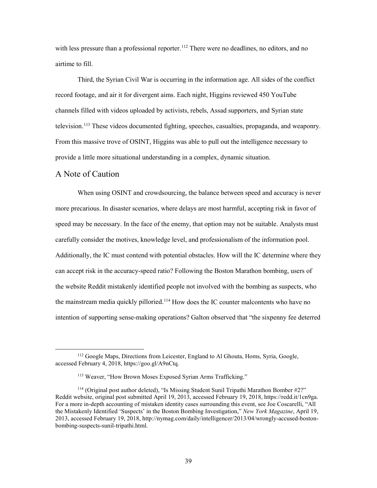<span id="page-48-0"></span>with less pressure than a professional reporter.<sup>[112](#page-48-1)</sup> There were no deadlines, no editors, and no airtime to fill.

 provide a little more situational understanding in a complex, dynamic situation. Third, the Syrian Civil War is occurring in the information age. All sides of the conflict record footage, and air it for divergent aims. Each night, Higgins reviewed 450 YouTube channels filled with videos uploaded by activists, rebels, Assad supporters, and Syrian state television.<sup>113</sup> These videos documented fighting, speeches, casualties, propaganda, and weaponry. From this massive trove of OSINT, Higgins was able to pull out the intelligence necessary to

## A Note of Caution

 $\overline{a}$ 

the mainstream media quickly pilloried.<sup>114</sup> How does the IC counter malcontents who have no When using OSINT and crowdsourcing, the balance between speed and accuracy is never more precarious. In disaster scenarios, where delays are most harmful, accepting risk in favor of speed may be necessary. In the face of the enemy, that option may not be suitable. Analysts must carefully consider the motives, knowledge level, and professionalism of the information pool. Additionally, the IC must contend with potential obstacles. How will the IC determine where they can accept risk in the accuracy-speed ratio? Following the Boston Marathon bombing, users of the website Reddit mistakenly identified people not involved with the bombing as suspects, who intention of supporting sense-making operations? Galton observed that "the sixpenny fee deterred

<span id="page-48-1"></span><sup>&</sup>lt;sup>112</sup> Google Maps, Directions from Leicester, England to Al Ghouta, Homs, Syria, Google, accessed February 4, 2018,<https://goo.gl/A9nCtq>.

<sup>113</sup> Weaver, "How Brown Moses Exposed Syrian Arms Trafficking."

<span id="page-48-3"></span><span id="page-48-2"></span><sup>114 (</sup>Original post author deleted), "Is Missing Student Sunil Tripathi Marathon Bomber #2?" Reddit website, original post submitted April 19, 2013, accessed February 19, 2018,<https://redd.it/1cn9ga>. For a more in-depth accounting of mistaken identity cases surrounding this event, see Joe Coscarelli, "All the Mistakenly Identified 'Suspects' in the Boston Bombing Investigation," *New York Magazine*, April 19, 2013, accessed February 19, 2018,<http://nymag.com/daily/intelligencer/2013/04/wrongly-accused-boston>bombing-suspects-sunil-tripathi.html.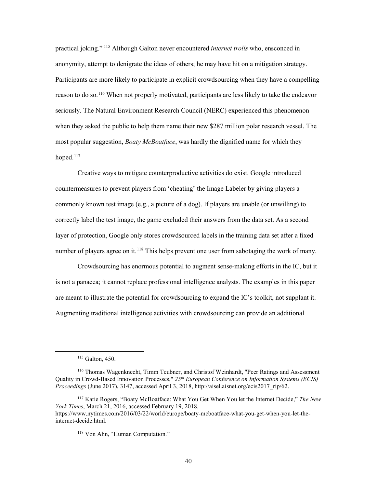practical joking." [115](#page-49-0) Although Galton never encountered *internet trolls* who, ensconced in Participants are more likely to participate in explicit crowdsourcing when they have a compelling reason to do so.<sup>[116](#page-49-1)</sup> When not properly motivated, participants are less likely to take the endeavor most popular suggestion, *Boaty McBoatface*, was hardly the dignified name for which they anonymity, attempt to denigrate the ideas of others; he may have hit on a mitigation strategy. seriously. The Natural Environment Research Council (NERC) experienced this phenomenon when they asked the public to help them name their new \$287 million polar research vessel. The hoped. $117$ 

 commonly known test image (e.g., a picture of a dog). If players are unable (or unwilling) to correctly label the test image, the game excluded their answers from the data set. As a second layer of protection, Google only stores crowdsourced labels in the training data set after a fixed number of players agree on it.<sup>118</sup> This helps prevent one user from sabotaging the work of many. Creative ways to mitigate counterproductive activities do exist. Google introduced countermeasures to prevent players from 'cheating' the Image Labeler by giving players a

 Crowdsourcing has enormous potential to augment sense-making efforts in the IC, but it is not a panacea; it cannot replace professional intelligence analysts. The examples in this paper are meant to illustrate the potential for crowdsourcing to expand the IC's toolkit, not supplant it. Augmenting traditional intelligence activities with crowdsourcing can provide an additional

 115 Galton, 450.

<span id="page-49-1"></span><span id="page-49-0"></span><sup>&</sup>lt;sup>116</sup> Thomas Wagenknecht, Timm Teubner, and Christof Weinhardt, "Peer Ratings and Assessment Quality in Crowd-Based Innovation Processes," *25th European Conference on Information Systems (ECIS) Proceedings* (June 2017), 3147, accessed April 3, 2018, [http://aisel.aisnet.org/ecis2017\\_rip/62](http://aisel.aisnet.org/ecis2017_rip/62).

<span id="page-49-3"></span><span id="page-49-2"></span><sup>117</sup> Katie Rogers, "Boaty McBoatface: What You Get When You let the Internet Decide," *The New York Times*, March 21, 2016, accessed February 19, 2018, <https://www.nytimes.com/2016/03/22/world/europe/boaty-mcboatface-what-you-get-when-you-let-the>internet-decide.html.

<sup>118</sup> Von Ahn, "Human Computation."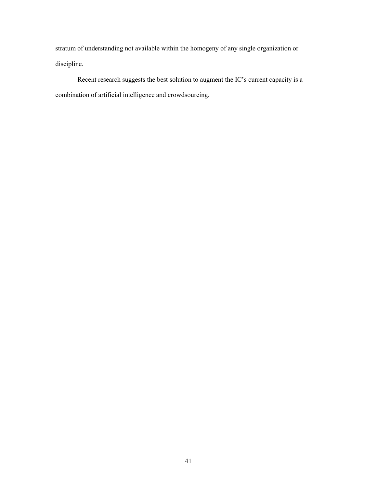stratum of understanding not available within the homogeny of any single organization or discipline.

 Recent research suggests the best solution to augment the IC's current capacity is a combination of artificial intelligence and crowdsourcing.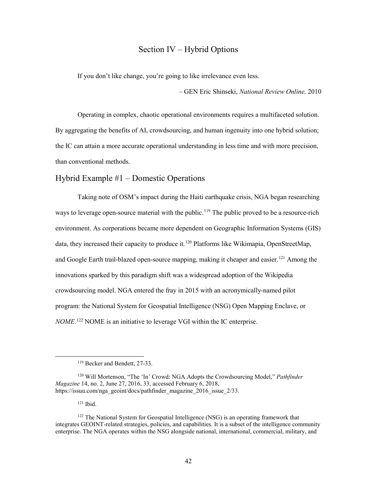# Section IV – Hybrid Options

<span id="page-51-0"></span>Section IV – Hybrid Options<br>If you don't like change, you're going to like irrelevance even less.

– GEN Eric Shinseki, *National Review Online,* 2010

 By aggregating the benefits of AI, crowdsourcing, and human ingenuity into one hybrid solution; the IC can attain a more accurate operational understanding in less time and with more precision, than conventional methods. Operating in complex, chaotic operational environments requires a multifaceted solution.

# Hybrid Example #1 – Domestic Operations

and Google Earth trail-blazed open-source mapping, making it cheaper and easier.<sup>[121](#page-51-3)</sup> Among the program: the National System for Geospatial Intelligence (NSG) Open Mapping Enclave, or *NOME*. [122](#page-51-4) NOME is an initiative to leverage VGI within the IC enterprise. Taking note of OSM's impact during the Haiti earthquake crisis, NGA began researching ways to leverage open-source material with the public.<sup>119</sup> The public proved to be a resource-rich environment. As corporations became more dependent on Geographic Information Systems (GIS) data, they increased their capacity to produce it.<sup>[120](#page-51-2)</sup> Platforms like Wikimapia, OpenStreetMap, innovations sparked by this paradigm shift was a widespread adoption of the Wikipedia crowdsourcing model. NGA entered the fray in 2015 with an acronymically-named pilot

121 Ibid.

<sup>119</sup> Becker and Bendett, 27-33.

<span id="page-51-2"></span><span id="page-51-1"></span> 120 Will Mortenson, "The 'In' Crowd: NGA Adopts the Crowdsourcing Model," *Pathfinder Magazine* 14, no. 2, June 27, 2016, 33, accessed February 6, 2018, [https://issuu.com/nga\\_geoint/docs/pathfinder\\_magazine\\_2016\\_issue\\_2/33](https://issuu.com/nga_geoint/docs/pathfinder_magazine_2016_issue_2/33).

<span id="page-51-4"></span><span id="page-51-3"></span><sup>&</sup>lt;sup>122</sup> The National System for Geospatial Intelligence (NSG) is an operating framework that integrates GEOINT-related strategies, policies, and capabilities. It is a subset of the intelligence community enterprise. The NGA operates within the NSG alongside national, international, commercial, military, and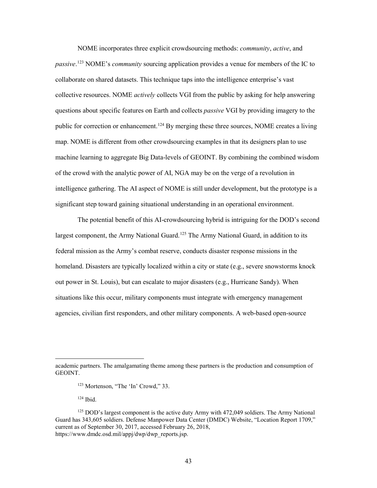collective resources. NOME *actively* collects VGI from the public by asking for help answering of the crowd with the analytic power of AI, NGA may be on the verge of a revolution in intelligence gathering. The AI aspect of NOME is still under development, but the prototype is a NOME incorporates three explicit crowdsourcing methods: *community*, *active*, and *passive*. [123](#page-52-0) NOME's *community* sourcing application provides a venue for members of the IC to collaborate on shared datasets. This technique taps into the intelligence enterprise's vast questions about specific features on Earth and collects *passive* VGI by providing imagery to the public for correction or enhancement.<sup>124</sup> By merging these three sources, NOME creates a living map. NOME is different from other crowdsourcing examples in that its designers plan to use machine learning to aggregate Big Data-levels of GEOINT. By combining the combined wisdom significant step toward gaining situational understanding in an operational environment.

 The potential benefit of this AI-crowdsourcing hybrid is intriguing for the DOD's second out power in St. Louis), but can escalate to major disasters (e.g., Hurricane Sandy). When largest component, the Army National Guard.<sup>125</sup> The Army National Guard, in addition to its federal mission as the Army's combat reserve, conducts disaster response missions in the homeland. Disasters are typically localized within a city or state (e.g., severe snowstorms knock situations like this occur, military components must integrate with emergency management agencies, civilian first responders, and other military components. A web-based open-source

<span id="page-52-0"></span>academic partners. The amalgamating theme among these partners is the production and consumption of GEOINT.

<sup>123</sup> Mortenson, "The 'In' Crowd," 33.

 124 Ibid.

<span id="page-52-2"></span><span id="page-52-1"></span><sup>&</sup>lt;sup>125</sup> DOD's largest component is the active duty Army with 472,049 soldiers. The Army National Guard has 343,605 soldiers. Defense Manpower Data Center (DMDC) Website, "Location Report 1709," current as of September 30, 2017, accessed February 26, 2018, [https://www.dmdc.osd.mil/appj/dwp/dwp\\_reports.jsp](https://www.dmdc.osd.mil/appj/dwp/dwp_reports.jsp).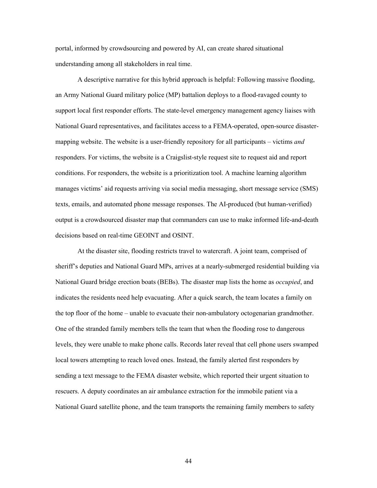understanding among all stakeholders in real time. portal, informed by crowdsourcing and powered by AI, can create shared situational

 an Army National Guard military police (MP) battalion deploys to a flood-ravaged county to support local first responder efforts. The state-level emergency management agency liaises with National Guard representatives, and facilitates access to a FEMA-operated, open-source disaster- responders. For victims, the website is a Craigslist-style request site to request aid and report conditions. For responders, the website is a prioritization tool. A machine learning algorithm A descriptive narrative for this hybrid approach is helpful: Following massive flooding, mapping website. The website is a user-friendly repository for all participants – victims *and*  manages victims' aid requests arriving via social media messaging, short message service (SMS) texts, emails, and automated phone message responses. The AI-produced (but human-verified) output is a crowdsourced disaster map that commanders can use to make informed life-and-death decisions based on real-time GEOINT and OSINT.

 At the disaster site, flooding restricts travel to watercraft. A joint team, comprised of sheriff's deputies and National Guard MPs, arrives at a nearly-submerged residential building via National Guard bridge erection boats (BEBs). The disaster map lists the home as *occupied*, and indicates the residents need help evacuating. After a quick search, the team locates a family on the top floor of the home – unable to evacuate their non-ambulatory octogenarian grandmother. One of the stranded family members tells the team that when the flooding rose to dangerous levels, they were unable to make phone calls. Records later reveal that cell phone users swamped local towers attempting to reach loved ones. Instead, the family alerted first responders by sending a text message to the FEMA disaster website, which reported their urgent situation to rescuers. A deputy coordinates an air ambulance extraction for the immobile patient via a National Guard satellite phone, and the team transports the remaining family members to safety

44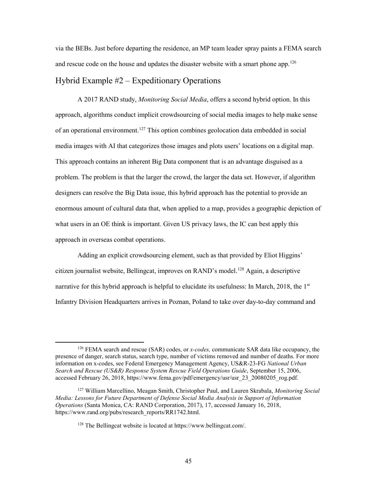<span id="page-54-0"></span> via the BEBs. Just before departing the residence, an MP team leader spray paints a FEMA search and rescue code on the house and updates the disaster website with a smart phone app.<sup>[126](#page-54-1)</sup>

# Hybrid Example #2 – Expeditionary Operations

 This approach contains an inherent Big Data component that is an advantage disguised as a enormous amount of cultural data that, when applied to a map, provides a geographic depiction of A 2017 RAND study, *Monitoring Social Media*, offers a second hybrid option. In this approach, algorithms conduct implicit crowdsourcing of social media images to help make sense of an operational environment.<sup>127</sup> This option combines geolocation data embedded in social media images with AI that categorizes those images and plots users' locations on a digital map. problem. The problem is that the larger the crowd, the larger the data set. However, if algorithm designers can resolve the Big Data issue, this hybrid approach has the potential to provide an what users in an OE think is important. Given US privacy laws, the IC can best apply this approach in overseas combat operations.

narrative for this hybrid approach is helpful to elucidate its usefulness: In March, 2018, the 1<sup>st</sup> Adding an explicit crowdsourcing element, such as that provided by Eliot Higgins' citizen journalist website, Bellingcat, improves on RAND's model.[128](#page-54-3) Again, a descriptive Infantry Division Headquarters arrives in Poznan, Poland to take over day-to-day command and

<span id="page-54-1"></span> presence of danger, search status, search type, number of victims removed and number of deaths. For more 126 FEMA search and rescue (SAR) codes, or *x-codes,* communicate SAR data like occupancy, the information on x-codes, see Federal Emergency Management Agency, US&R-23-FG *National Urban Search and Rescue (US&R) Response System Rescue Field Operations Guide*, September 15, 2006, accessed February 26, 2018, [https://www.fema.gov/pdf/emergency/usr/usr\\_23\\_20080205\\_rog.pdf](https://www.fema.gov/pdf/emergency/usr/usr_23_20080205_rog.pdf).

<span id="page-54-3"></span><span id="page-54-2"></span> *Operations* (Santa Monica, CA: RAND Corporation, 2017), 17, accessed January 16, 2018, 127 William Marcellino, Meagan Smith, Christopher Paul, and Lauren Skrabala, *Monitoring Social Media: Lessons for Future Department of Defense Social Media Analysis in Support of Information*  [https://www.rand.org/pubs/research\\_reports/RR1742.html.](https://www.rand.org/pubs/research_reports/RR1742.html)

<sup>128</sup> The Bellingcat website is located at<https://www.bellingcat.com>/.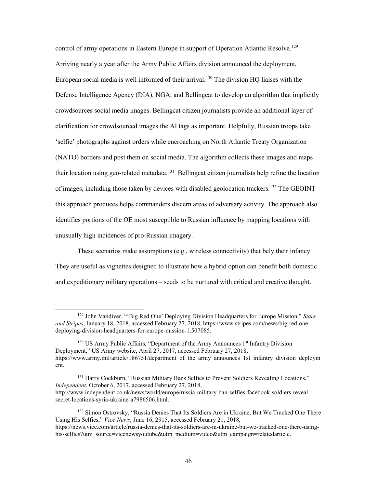control of army operations in Eastern Europe in support of Operation Atlantic Resolve.<sup>[129](#page-55-0)</sup> European social media is well informed of their arrival.<sup>[130](#page-55-1)</sup> The division HQ liaises with the 'selfie' photographs against orders while encroaching on North Atlantic Treaty Organization (NATO) borders and post them on social media. The algorithm collects these images and maps their location using geo-related metadata. [131](#page-55-2) Bellingcat citizen journalists help refine the location Arriving nearly a year after the Army Public Affairs division announced the deployment, Defense Intelligence Agency (DIA), NGA, and Bellingcat to develop an algorithm that implicitly crowdsources social media images. Bellingcat citizen journalists provide an additional layer of clarification for crowdsourced images the AI tags as important. Helpfully, Russian troops take of images, including those taken by devices with disabled geolocation trackers.<sup>[132](#page-55-3)</sup> The GEOINT this approach produces helps commanders discern areas of adversary activity. The approach also identifies portions of the OE most susceptible to Russian influence by mapping locations with unusually high incidences of pro-Russian imagery.

 They are useful as vignettes designed to illustrate how a hybrid option can benefit both domestic and expeditionary military operations – seeds to be nurtured with critical and creative thought. These scenarios make assumptions (e.g., wireless connectivity) that bely their infancy.

<span id="page-55-0"></span><sup>129</sup> John Vandiver, "'Big Red One' Deploying Division Headquarters for Europe Mission," *Stars and Stripes*, January 18, 2018, accessed February 27, 2018,<https://www.stripes.com/news/big-red-one>deploying-division-headquarters-for-europe-mission-1.507085.

<span id="page-55-1"></span><sup>&</sup>lt;sup>130</sup> US Army Public Affairs, "Department of the Army Announces 1<sup>st</sup> Infantry Division Deployment," US Army website, April 27, 2017, accessed February 27, 2018, https://www.army.mil/article/186751/department of the army announces 1st infantry division deploym ent.

<span id="page-55-2"></span><sup>&</sup>lt;sup>131</sup> Harry Cockburn, "Russian Military Bans Selfies to Prevent Soldiers Revealing Locations," *Independent*, October 6, 2017, accessed February 27, 2018, <http://www.independent.co.uk/news/world/europe/russia-military-ban-selfies-facebook-soldiers-reveal>secret-locations-syria-ukraine-a7986506.html.

<span id="page-55-3"></span><sup>&</sup>lt;sup>132</sup> Simon Ostrovsky, "Russia Denies That Its Soldiers Are in Ukraine, But We Tracked One There Using His Selfies," *Vice News*, June 16, 2915, accessed February 21, 2018,

<https://news.vice.com/article/russia-denies-that-its-soldiers-are-in-ukraine-but-we-tracked-one-there-using>his-selfies?utm\_source=vicenewsyoutube&utm\_medium=video&utm\_campaign=relatedarticle.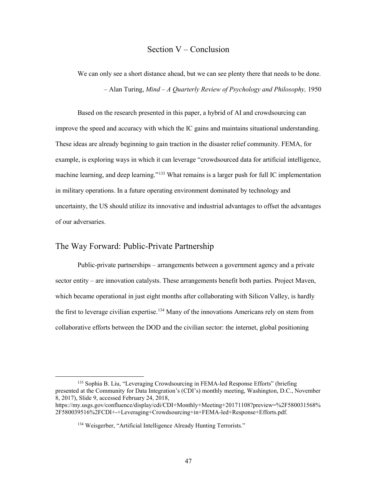# Section V – Conclusion

<span id="page-56-0"></span> – Alan Turing, *Mind – A Quarterly Review of Psychology and Philosophy,* 1950 We can only see a short distance ahead, but we can see plenty there that needs to be done.

machine learning, and deep learning."<sup>[133](#page-56-1)</sup> What remains is a larger push for full IC implementation uncertainty, the US should utilize its innovative and industrial advantages to offset the advantages Based on the research presented in this paper, a hybrid of AI and crowdsourcing can improve the speed and accuracy with which the IC gains and maintains situational understanding. These ideas are already beginning to gain traction in the disaster relief community. FEMA, for example, is exploring ways in which it can leverage "crowdsourced data for artificial intelligence, in military operations. In a future operating environment dominated by technology and of our adversaries.

### The Way Forward: Public-Private Partnership

 $\overline{a}$ 

 which became operational in just eight months after collaborating with Silicon Valley, is hardly the first to leverage civilian expertise.<sup>[134](#page-56-2)</sup> Many of the innovations Americans rely on stem from collaborative efforts between the DOD and the civilian sector: the internet, global positioning Public-private partnerships – arrangements between a government agency and a private sector entity – are innovation catalysts. These arrangements benefit both parties. Project Maven,

<span id="page-56-1"></span><sup>&</sup>lt;sup>133</sup> Sophia B. Liu, "Leveraging Crowdsourcing in FEMA-led Response Efforts" (briefing presented at the Community for Data Integration's (CDI's) monthly meeting, Washington, D.C., November 8, 2017), Slide 9, accessed February 24, 2018,

<span id="page-56-2"></span>[https://my.usgs.gov/confluence/display/cdi/CDI+Monthly+Meeting+20171108?preview=%2F580031568%](https://my.usgs.gov/confluence/display/cdi/CDI+Monthly+Meeting+20171108?preview=%2F580031568) 2F580039516%2FCDI+-+Leveraging+Crowdsourcing+in+FEMA-led+Response+Efforts.pdf.

<sup>&</sup>lt;sup>134</sup> Weisgerber, "Artificial Intelligence Already Hunting Terrorists."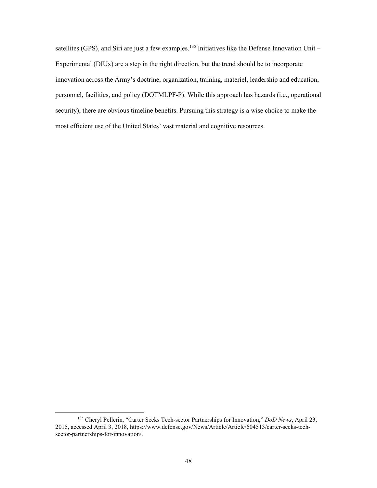satellites (GPS), and Siri are just a few examples.<sup>[135](#page-57-0)</sup> Initiatives like the Defense Innovation Unit – Experimental (DIUx) are a step in the right direction, but the trend should be to incorporate personnel, facilities, and policy (DOTMLPF-P). While this approach has hazards (i.e., operational innovation across the Army's doctrine, organization, training, materiel, leadership and education, security), there are obvious timeline benefits. Pursuing this strategy is a wise choice to make the most efficient use of the United States' vast material and cognitive resources.

<span id="page-57-0"></span> 135 Cheryl Pellerin, "Carter Seeks Tech-sector Partnerships for Innovation," *DoD News*, April 23, 2015, accessed April 3, 2018,<https://www.defense.gov/News/Article/Article/604513/carter-seeks-tech>sector-partnerships-for-innovation/.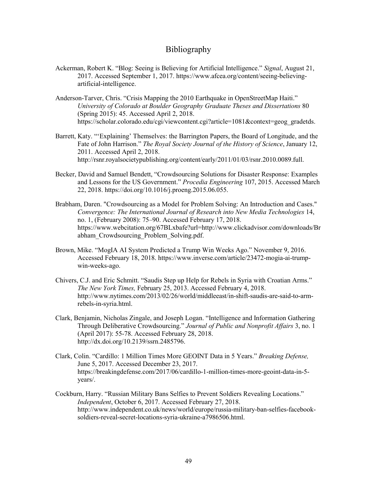## Bibliography

- Ackerman, Robert K. "Blog: Seeing is Believing for Artificial Intelligence." *Signal*, August 21, 2017. Accessed September 1, 2017.<https://www.afcea.org/content/seeing-believing>artificial-intelligence.
- *University of Colorado at Boulder Geography Graduate Theses and Dissertations* 80 Anderson-Tarver, Chris. "Crisis Mapping the 2010 Earthquake in OpenStreetMap Haiti." (Spring 2015): 45. Accessed April 2, 2018. [https://scholar.colorado.edu/cgi/viewcontent.cgi?article=1081&context=geog\\_gradetds.](https://scholar.colorado.edu/cgi/viewcontent.cgi?article=1081&context=geog_gradetds)
- Barrett, Katy. "'Explaining' Themselves: the Barrington Papers, the Board of Longitude, and the Fate of John Harrison." *The Royal Society Journal of the History of Science*, January 12, 2011. Accessed April 2, 2018. <http://rsnr.royalsocietypublishing.org/content/early/2011/01/03/rsnr.2010.0089.full>.
- Becker, David and Samuel Bendett, "Crowdsourcing Solutions for Disaster Response: Examples and Lessons for the US Government." *Procedia Engineering* 107, 2015. Accessed March 22, 2018.<https://doi.org/10.1016/j.proeng.2015.06.055>.
- *Convergence: The International Journal of Research into New Media Technologies* 14, Brabham, Daren. "Crowdsourcing as a Model for Problem Solving: An Introduction and Cases." no. 1, (February 2008): 75–90. Accessed February 17, 2018. <https://www.webcitation.org/67BLxbafe?url=http://www.clickadvisor.com/downloads/Br> abham\_Crowdsourcing\_Problem\_Solving.pdf.
- Brown, Mike. "MogIA AI System Predicted a Trump Win Weeks Ago." November 9, 2016. Accessed February 18, 2018. <https://www.inverse.com/article/23472-mogia-ai-trump>win-weeks-ago.
- *The New York Times,* February 25, 2013. Accessed February 4, 2018. Chivers, C.J. and Eric Schmitt. "Saudis Step up Help for Rebels in Syria with Croatian Arms." <http://www.nytimes.com/2013/02/26/world/middleeast/in-shift-saudis-are-said-to-arm>rebels-in-syria.html.
- Clark, Benjamin, Nicholas Zingale, and Joseph Logan. "Intelligence and Information Gathering Through Deliberative Crowdsourcing." *Journal of Public and Nonprofit Affairs* 3, no. 1 (April 2017): 55-78. Accessed February 28, 2018. <http://dx.doi.org/10.2139/ssrn.2485796>.
- Clark, Colin. "Cardillo: 1 Million Times More GEOINT Data in 5 Years." *Breaking Defense,*  June 5, 2017. Accessed December 23, 2017. <https://breakingdefense.com/2017/06/cardillo-1-million-times-more-geoint-data-in-5> years/.
- Cockburn, Harry. "Russian Military Bans Selfies to Prevent Soldiers Revealing Locations." *Independent*, October 6, 2017. Accessed February 27, 2018. <http://www.independent.co.uk/news/world/europe/russia-military-ban-selfies-facebook>soldiers-reveal-secret-locations-syria-ukraine-a7986506.html.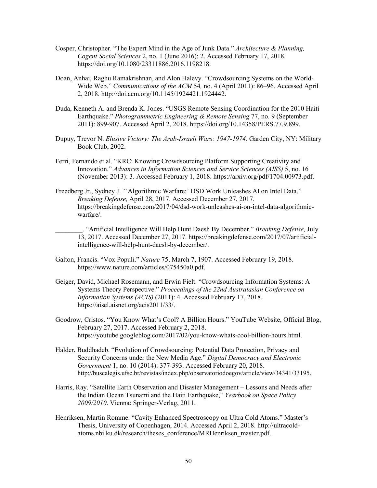- Cosper, Christopher. "The Expert Mind in the Age of Junk Data." *Architecture & Planning, Cogent Social Sciences* 2, no. 1 (June 2016): 2. Accessed February 17, 2018. [https://doi.org/10.1080/23311886.2016.1198218.](https://doi.org/10.1080/23311886.2016.1198218)
- Wide Web." *Communications of the ACM* 54, no. 4 (April 2011): 86–96. Accessed April Doan, Anhai, Raghu Ramakrishnan, and Alon Halevy. "Crowdsourcing Systems on the World-2, 2018. [http://doi.acm.org/10.1145/1924421.1924442.](http://doi.acm.org/10.1145/1924421.1924442)
- Duda, Kenneth A. and Brenda K. Jones. "USGS Remote Sensing Coordination for the 2010 Haiti Earthquake." *Photogrammetric Engineering & Remote Sensing* 77, no. 9 (September 2011): 899-907. Accessed April 2, 2018. <https://doi.org/10.14358/PERS.77.9.899>.
- Dupuy, Trevor N. *Elusive Victory: The Arab-Israeli Wars: 1947-1974.* Garden City, NY: Military Book Club, 2002.
- (November 2013): 3. Accessed February 1, 2018. [https://arxiv.org/pdf/1704.00973.pdf.](https://arxiv.org/pdf/1704.00973.pdf) Ferri, Fernando et al. "KRC: Knowing Crowdsourcing Platform Supporting Creativity and Innovation." *Advances in Information Sciences and Service Sciences (AISS)* 5, no. 16
- Freedberg Jr., Sydney J. "'Algorithmic Warfare:' DSD Work Unleashes AI on Intel Data." *Breaking Defense,* April 28, 2017. Accessed December 27, 2017. <https://breakingdefense.com/2017/04/dsd-work-unleashes-ai-on-intel-data-algorithmic>warfare/.
	- \_\_\_\_\_\_\_\_. "Artificial Intelligence Will Help Hunt Daesh By December." *Breaking Defense,* July 13, 2017. Accessed December 27, 2017.<https://breakingdefense.com/2017/07/artificial>intelligence-will-help-hunt-daesh-by-december/.
- Galton, Francis. "Vox Populi." *Nature* 75, March 7, 1907. Accessed February 19, 2018. <https://www.nature.com/articles/075450a0.pdf>.
- *Information Systems (ACIS)* (2011): 4. Accessed February 17, 2018. Geiger, David, Michael Rosemann, and Erwin Fielt. "Crowdsourcing Information Systems: A Systems Theory Perspective." *Proceedings of the 22nd Australasian Conference on*  [https://aisel.aisnet.org/acis2011/33/](https://aisel.aisnet.org/acis2011/33).
- Goodrow, Cristos. "You Know What's Cool? A Billion Hours." YouTube Website, Official Blog, February 27, 2017. Accessed February 2, 2018. <https://youtube.googleblog.com/2017/02/you-know-whats-cool-billion-hours.html>.
- Halder, Buddhadeb. "Evolution of Crowdsourcing: Potential Data Protection, Privacy and Security Concerns under the New Media Age." *Digital Democracy and Electronic Government* 1, no. 10 (2014): 377-393. Accessed February 20, 2018. <http://buscalegis.ufsc.br/revistas/index.php/observatoriodoegov/article/view/34341/33195>.
- Harris, Ray. "Satellite Earth Observation and Disaster Management Lessons and Needs after the Indian Ocean Tsunami and the Haiti Earthquake," *Yearbook on Space Policy 2009/2010*. Vienna: Springer-Verlag, 2011.
- Henriksen, Martin Romme. "Cavity Enhanced Spectroscopy on Ultra Cold Atoms." Master's Thesis, University of Copenhagen, 2014. Accessed April 2, 2018.<http://ultracold>atoms.nbi.ku.dk/research/theses\_conference/MRHenriksen\_master.pdf.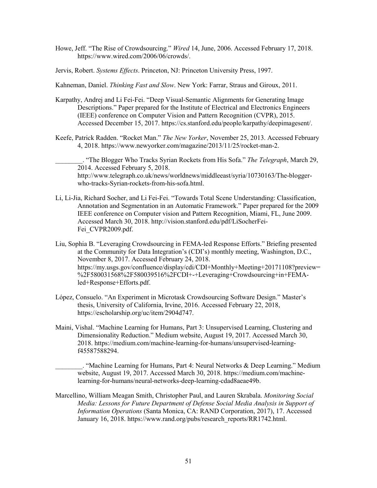- Howe, Jeff. "The Rise of Crowdsourcing." *Wired* 14, June, 2006. Accessed February 17, 2018. [https://www.wired.com/2006/06/crowds/](https://www.wired.com/2006/06/crowds).
- Jervis, Robert. *Systems Effects*. Princeton, NJ: Princeton University Press, 1997.
- Kahneman, Daniel. *Thinking Fast and Slow*. New York: Farrar, Straus and Giroux, 2011.
- Karpathy, Andrej and Li Fei-Fei. "Deep Visual-Semantic Alignments for Generating Image Descriptions." Paper prepared for the Institute of Electrical and Electronics Engineers (IEEE) conference on Computer Vision and Pattern Recognition (CVPR), 2015. Accessed December 15, 2017. [https://cs.stanford.edu/people/karpathy/deepimagesent/](https://cs.stanford.edu/people/karpathy/deepimagesent).
- Keefe, Patrick Radden. "Rocket Man." *The New Yorker*, November 25, 2013. Accessed February 4, 2018. [https://www.newyorker.com/magazine/2013/11/25/rocket-man-2.](https://www.newyorker.com/magazine/2013/11/25/rocket-man-2)

\_\_\_\_\_\_\_\_. "The Blogger Who Tracks Syrian Rockets from His Sofa." *The Telegraph*, March 29, 2014. Accessed February 5, 2018. <http://www.telegraph.co.uk/news/worldnews/middleeast/syria/10730163/The-blogger>who-tracks-Syrian-rockets-from-his-sofa.html.

- Li, Li-Jia, Richard Socher, and Li Fei-Fei. "Towards Total Scene Understanding: Classification, IEEE conference on Computer vision and Pattern Recognition, Miami, FL, June 2009. Annotation and Segmentation in an Automatic Framework." Paper prepared for the 2009 Accessed March 30, 2018. [http://vision.stanford.edu/pdf/LiSocherFei-](http://vision.stanford.edu/pdf/LiSocherFei)Fei\_CVPR2009.pdf.
- Liu, Sophia B. "Leveraging Crowdsourcing in FEMA-led Response Efforts." Briefing presented at the Community for Data Integration's (CDI's) monthly meeting, Washington, D.C., November 8, 2017. Accessed February 24, 2018. <https://my.usgs.gov/confluence/display/cdi/CDI+Monthly+Meeting+20171108?preview>= %2F580031568%2F580039516%2FCDI+-+Leveraging+Crowdsourcing+in+FEMAled+Response+Efforts.pdf.
- López, Consuelo. "An Experiment in Microtask Crowdsourcing Software Design." Master's thesis, University of California, Irvine, 2016. Accessed February 22, 2018, <https://escholarship.org/uc/item/2904d747>.
- Dimensionality Reduction." Medium website, August 19, 2017. Accessed March 30, Maini, Vishal. "Machine Learning for Humans, Part 3: Unsupervised Learning, Clustering and 2018.<https://medium.com/machine-learning-for-humans/unsupervised-learning>f45587588294.

 website, August 19, 2017. Accessed March 30, 2018. [https://medium.com/machine-](https://medium.com/machine)\_\_\_\_\_\_\_\_. "Machine Learning for Humans, Part 4: Neural Networks & Deep Learning." Medium learning-for-humans/neural-networks-deep-learning-cdad8aeae49b.

 *Media: Lessons for Future Department of Defense Social Media Analysis in Support of Information Operations* (Santa Monica, CA: RAND Corporation, 2017), 17. Accessed Marcellino, William Meagan Smith, Christopher Paul, and Lauren Skrabala. *Monitoring Social*  January 16, 2018. [https://www.rand.org/pubs/research\\_reports/RR1742.html](https://www.rand.org/pubs/research_reports/RR1742.html).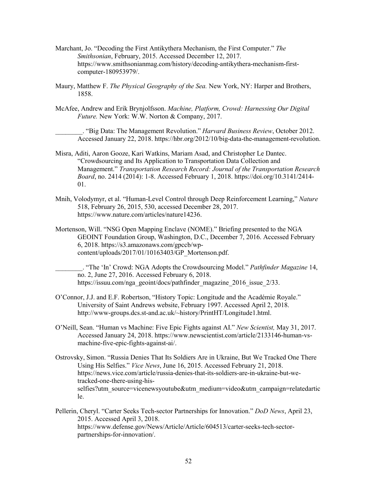- Marchant, Jo. "Decoding the First Antikythera Mechanism, the First Computer." *The Smithsonian*, February, 2015. Accessed December 12, 2017. <https://www.smithsonianmag.com/history/decoding-antikythera-mechanism-first>computer-180953979/.
- 1858. Maury, Matthew F. *The Physical Geography of the Sea.* New York, NY: Harper and Brothers,
- 1858. McAfee, Andrew and Erik Brynjolfsson. *Machine, Platform, Crowd: Harnessing Our Digital Future.* New York: W.W. Norton & Company, 2017.

\_\_\_\_\_\_\_\_. "Big Data: The Management Revolution." *Harvard Business Review*, October 2012. Accessed January 22, 2018.<https://hbr.org/2012/10/big-data-the-management-revolution>.

- Misra, Aditi, Aaron Gooze, Kari Watkins, Mariam Asad, and Christopher Le Dantec. "Crowdsourcing and Its Application to Transportation Data Collection and Management." *Transportation Research Record: Journal of the Transportation Research Board*, no. 2414 (2014): 1-8. Accessed February 1, 2018. [https://doi.org/10.3141/2414-](https://doi.org/10.3141/2414) 01.
- Mnih, Volodymyr, et al. "Human-Level Control through Deep Reinforcement Learning," *Nature*  518, February 26, 2015, 530, accessed December 28, 2017. <https://www.nature.com/articles/nature14236>.
- Mortenson, Will. "NSG Open Mapping Enclave (NOME)." Briefing presented to the NGA GEOINT Foundation Group, Washington, D.C., December 7, 2016. Accessed February 6, 2018. <https://s3.amazonaws.com/gpccb/wp>content/uploads/2017/01/10163403/GP\_Mortenson.pdf.

 \_\_\_\_\_\_\_\_. "The 'In' Crowd: NGA Adopts the Crowdsourcing Model." *Pathfinder Magazine* 14, no. 2, June 27, 2016. Accessed February 6, 2018. [https://issuu.com/nga\\_geoint/docs/pathfinder\\_magazine\\_2016\\_issue\\_2/33](https://issuu.com/nga_geoint/docs/pathfinder_magazine_2016_issue_2/33).

- O'Connor, J.J. and E.F. Robertson, "History Topic: Longitude and the Académie Royale." University of Saint Andrews website, February 1997. Accessed April 2, 2018. <http://www-groups.dcs.st-and.ac.uk/~history/PrintHT/Longitude1.html>.
- Accessed January 24, 2018.<https://www.newscientist.com/article/2133146-human-vs>-O'Neill, Sean. "Human vs Machine: Five Epic Fights against AI." *New Scientist,* May 31, 2017. machine-five-epic-fights-against-ai/.
- Ostrovsky, Simon. "Russia Denies That Its Soldiers Are in Ukraine, But We Tracked One There Using His Selfies." *Vice News*, June 16, 2015. Accessed February 21, 2018. <https://news.vice.com/article/russia-denies-that-its-soldiers-are-in-ukraine-but-we>tracked-one-there-using-hisselfies?utm\_source=vicenewsyoutube&utm\_medium=video&utm\_campaign=relatedartic le.
- partnerships-for-innovation/.<br>52 Pellerin, Cheryl. "Carter Seeks Tech-sector Partnerships for Innovation." *DoD News*, April 23, 2015. Accessed April 3, 2018. [https://www.defense.gov/News/Article/Article/604513/carter-seeks-tech-sector-](https://www.defense.gov/News/Article/Article/604513/carter-seeks-tech-sector)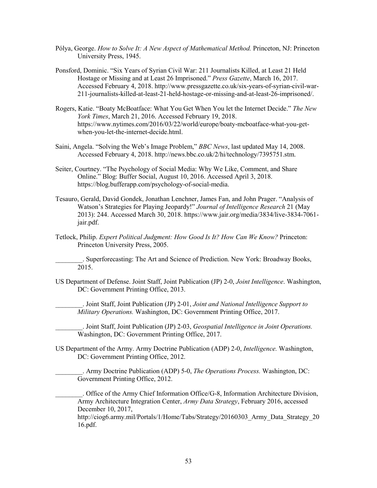- Pólya, George. *How to Solve It: A New Aspect of Mathematical Method.* Princeton, NJ: Princeton University Press, 1945.
- Ponsford, Dominic. "Six Years of Syrian Civil War: 211 Journalists Killed, at Least 21 Held Hostage or Missing and at Least 26 Imprisoned." *Press Gazette*, March 16, 2017. Accessed February 4, 2018.<http://www.pressgazette.co.uk/six-years-of-syrian-civil-war>-211-journalists-killed-at-least-21-held-hostage-or-missing-and-at-least-26-imprisoned/.
- Rogers, Katie. "Boaty McBoatface: What You Get When You let the Internet Decide." *The New York Times*, March 21, 2016. Accessed February 19, 2018. <https://www.nytimes.com/2016/03/22/world/europe/boaty-mcboatface-what-you-get>when-you-let-the-internet-decide.html.
- Saini, Angela. "Solving the Web's Image Problem," *BBC News*, last updated May 14, 2008. Accessed February 4, 2018. [http://news.bbc.co.uk/2/hi/technology/7395751.stm.](http://news.bbc.co.uk/2/hi/technology/7395751.stm)
- Seiter, Courtney. "The Psychology of Social Media: Why We Like, Comment, and Share Online." Blog: Buffer Social, August 10, 2016. Accessed April 3, 2018. [https://blog.bufferapp.com/psychology-of-social-media.](https://blog.bufferapp.com/psychology-of-social-media)
- Tesauro, Gerald, David Gondek, Jonathan Lenchner, James Fan, and John Prager. "Analysis of Watson's Strategies for Playing Jeopardy!" *Journal of Intelligence Research* 21 (May 2013): 244. Accessed March 30, 2018.<https://www.jair.org/media/3834/live-3834-7061> jair.pdf.
- Tetlock, Philip. *Expert Political Judgment: How Good Is It? How Can We Know?* Princeton: Princeton University Press, 2005.

. Superforecasting: The Art and Science of Prediction. New York: Broadway Books, 2015.

 US Department of Defense. Joint Staff, Joint Publication (JP) 2-0, *Joint Intelligence*. Washington, DC: Government Printing Office, 2013.

 \_\_\_\_\_\_\_\_. Joint Staff, Joint Publication (JP) 2-01, *Joint and National Intelligence Support to Military Operations.* Washington, DC: Government Printing Office, 2017.

\_\_\_\_\_\_\_\_. Joint Staff, Joint Publication (JP) 2-03, *Geospatial Intelligence in Joint Operations.*  Washington, DC: Government Printing Office, 2017.

US Department of the Army. Army Doctrine Publication (ADP) 2-0, *Intelligence.* Washington, DC: Government Printing Office, 2012.

\_\_\_\_\_\_\_\_. Army Doctrine Publication (ADP) 5-0, *The Operations Process.* Washington, DC: Government Printing Office, 2012.

 \_\_\_\_\_\_\_\_. Office of the Army Chief Information Office/G-8, Information Architecture Division, Army Architecture Integration Center, *Army Data Strategy*, February 2016, accessed December 10, 2017,

http://ciog6.army.mil/Portals/1/Home/Tabs/Strategy/20160303 Army Data Strategy 20 16.pdf.